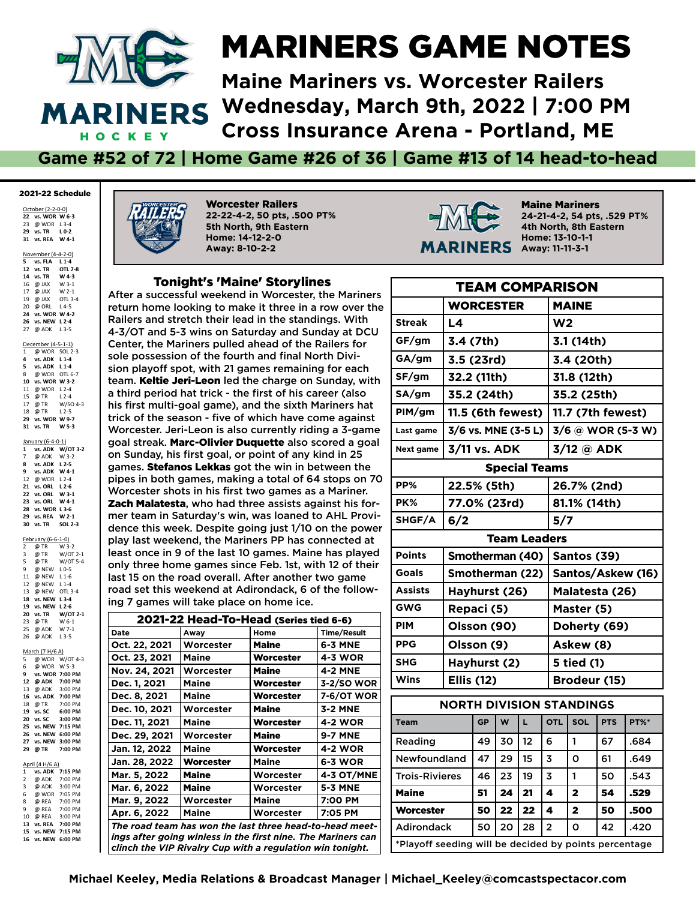

## MARINERS GAME NOTES

**Maine Mariners vs. Worcester RailersWednesday, March 9th, 2022 | 7:00 PM Cross Insurance Arena - Portland, ME**

**Game #52 of 72 | Home Game #26 of 36 | Game #13 of 14 head-to-head**

#### 2021-22 Schedule

October (2-2-0-0) **vs. WOR W 6-3** @ WOR L 3-4 **vs. TR L 0-2 vs. REA W 4-1**

November (4-4-2-0) **5 vs. FLA L 1-4 12 vs. TR 14 vs. TR W 4-3** 16  $@$  JAX 17 @ JAX W 2-1<br>19 @ JAX OTL 3-4 19 @ JAX 20 @ ORL L 4-5 **24 vs. WOR W 4-2 26 vs. NEW L 2-4** 27 @ ADK L 3-5 December (4-5-1-1) 1 @ WOR SOL 2-3 **4 vs. ADK L 1-4 5 vs. ADK L 1-4** 8 @ WOR OTL 6-7

 **vs. WOR W 3-2** 11 @ WOR L 2-4<br>15 @ TR L 2-4 15 @ TR L 2-4<br>17 @ TR W/SO 4-3  $\overline{\omega}$  TR @ TR L 2-5 **vs. WOR W 9-7 vs. WO**<br>**31 vs. TR** 

January (6-4-0-1)<br>1 vs. ADK W/  $\overrightarrow{W}$ /OT 3-2 7 @ ADK W 3-2<br>8 ys ADK 1.2-5 **vs. ADK L 2-5 vs. ADK W 4-1** @ WOR L 2-4 **vs. ORL L 2-6 vs. ORL W 3-1 23 vs. ORL W 4-1 vs. WOR L 3-6 vs. REA W 2-1 vs. TR SOL 2-3**

February (6-6-1-0)<br>2 @ TR W 3-2 2 @ TR<br>3 @ TR  $W/OT$  2-1 5 @ TR W/OT 5-4

 @ NEW L 0-5 @ NEW L 1-6 @ NEW L 1-4 @ NEW OTL 3-4 **vs. NEW L 3-4 vs. NEW L 2-6 vs. TR W/OT**<br>23 @ TR **W** 6-1 23 @ TR @ ADK W 7-1 @ ADK L 3-5 March (7 H/6 A)  $@$  WOR W/OT 4-3

6 @ WOR W 5-3<br>9 vs. WOR 7:00 P **9 vs. WOR 7:00 PM 12 @ ADK 7:00 PM** 13  $\overline{\omega}$  ADK **16 vs. ADK 7:00 PM** 18 @ TR **19 vs. SC 6:00 PM 20 vs. SC 3:00 PM 25 vs. NEW 7:15 PM 26 vs. NEW 6:00 PM 27 vs. NEW 3:00 PM 29 @ TR 7:00 PM** April (4 H/6 A) **1 vs. ADK 7:15 PM**<br> **2 @ ADK 7:00 PM**  $@$  ADK 3 @ ADK 3:00 PM 6 @ WOR 7:05 PM<br>8 @ RFA 7:00 PM 8 @ REA 7:00 PM<br>9 @ REA 7:00 PM  $@$  REA 10 @ REA 3:00 PM<br>13 vs. REA 7:00 PM

**13 vs. REA 7:00 PM 15 vs. NEW 7:15 PM 16 vs. NEW 6:00 PM**



Worcester Railers **22-22-4-2, 50 pts, .500 PT% 5th North, 9th Eastern Home: 14-12-2-0 Away: 8-10-2-2**

#### Tonight's 'Maine' Storylines

After a successful weekend in Worcester, the Mariners return home looking to make it three in a row over the Railers and stretch their lead in the standings. With 4-3/OT and 5-3 wins on Saturday and Sunday at DCU Center, the Mariners pulled ahead of the Railers for sole possession of the fourth and final North Division playoff spot, with 21 games remaining for each team. Keltie Jeri-Leon led the charge on Sunday, with a third period hat trick - the first of his career (also his first multi-goal game), and the sixth Mariners hat trick of the season - fve of which have come against Worcester. Jeri-Leon is also currently riding a 3-game goal streak. Marc-Olivier Duquette also scored a goal on Sunday, his first goal, or point of any kind in 25 games. Stefanos Lekkas got the win in between the pipes in both games, making a total of 64 stops on 70 Worcester shots in his first two games as a Mariner. Zach Malatesta, who had three assists against his former team in Saturday's win, was loaned to AHL Providence this week. Despite going just 1/10 on the power play last weekend, the Mariners PP has connected at least once in 9 of the last 10 games. Maine has played only three home games since Feb. 1st, with 12 of their last 15 on the road overall. After another two game road set this weekend at Adirondack, 6 of the following 7 games will take place on home ice.

| 2021-22 Head-To-Head (Series tied 6-6)                                                                                    |              |           |                   |  |  |  |  |  |  |
|---------------------------------------------------------------------------------------------------------------------------|--------------|-----------|-------------------|--|--|--|--|--|--|
| Date                                                                                                                      | Away         | Home      | Time/Result       |  |  |  |  |  |  |
| Oct. 22, 2021                                                                                                             | Worcester    | Maine     | 6-3 MNE           |  |  |  |  |  |  |
| Oct. 23, 2021                                                                                                             | Maine        | Worcester | <b>4-3 WOR</b>    |  |  |  |  |  |  |
| Nov. 24, 2021                                                                                                             | Worcester    | Maine     | <b>4-2 MNE</b>    |  |  |  |  |  |  |
| Dec. 1, 2021                                                                                                              | <b>Maine</b> | Worcester | 3-2/SO WOR        |  |  |  |  |  |  |
| Dec. 8, 2021                                                                                                              | Maine        | Worcester | <b>7-6/OT WOR</b> |  |  |  |  |  |  |
| Dec. 10, 2021                                                                                                             | Worcester    | Maine     | <b>3-2 MNE</b>    |  |  |  |  |  |  |
| Dec. 11, 2021                                                                                                             | Maine        | Worcester | <b>4-2 WOR</b>    |  |  |  |  |  |  |
| Dec. 29, 2021                                                                                                             | Worcester    | Maine     | <b>9-7 MNE</b>    |  |  |  |  |  |  |
| Jan. 12, 2022                                                                                                             | <b>Maine</b> | Worcester | <b>4-2 WOR</b>    |  |  |  |  |  |  |
| Jan. 28, 2022                                                                                                             | Worcester    | Maine     | 6-3 WOR           |  |  |  |  |  |  |
| Mar. 5, 2022                                                                                                              | Maine        | Worcester | <b>4-3 OT/MNE</b> |  |  |  |  |  |  |
| Mar. 6, 2022                                                                                                              | Maine        | Worcester | <b>5-3 MNE</b>    |  |  |  |  |  |  |
| Mar. 9, 2022                                                                                                              | Worcester    | Maine     | 7:00 PM           |  |  |  |  |  |  |
| Apr. 6, 2022                                                                                                              | Maine        | Worcester | 7:05 PM           |  |  |  |  |  |  |
| The road team has won the last three head-to-head meet-                                                                   |              |           |                   |  |  |  |  |  |  |
| ings after going winless in the first nine. The Mariners can<br>clinch the VIP Rivalry Cup with a regulation win tonight. |              |           |                   |  |  |  |  |  |  |



Maine Mariners **24-21-4-2, 54 pts, .529 PT% 4th North, 8th Eastern Home: 13-10-1-1Away: 11-11-3-1**

| <b>TEAM COMPARISON</b> |                                 |    |    |                      |  |                |                         |            |                   |  |
|------------------------|---------------------------------|----|----|----------------------|--|----------------|-------------------------|------------|-------------------|--|
| <b>WORCESTER</b>       |                                 |    |    |                      |  |                | <b>MAINE</b>            |            |                   |  |
| <b>Streak</b>          | L4                              |    |    |                      |  | W <sub>2</sub> |                         |            |                   |  |
| GF/gm                  | 3.4 (7th)                       |    |    |                      |  |                | 3.1 (14th)              |            |                   |  |
| GA/gm                  | 3.5 (23rd)                      |    |    |                      |  |                | 3.4 (20th)              |            |                   |  |
| SF/gm                  | 32.2 (11th)                     |    |    |                      |  |                | 31.8 (12th)             |            |                   |  |
| SA/gm                  | 35.2 (24th)                     |    |    |                      |  |                | 35.2 (25th)             |            |                   |  |
| PIM/gm                 | 11.5 (6th fewest)               |    |    |                      |  |                | 11.7 (7th fewest)       |            |                   |  |
| Last game              | 3/6 vs. MNE (3-5 L)             |    |    |                      |  |                |                         |            | 3/6 @ WOR (5-3 W) |  |
| Next game              | 3/11 vs. ADK                    |    |    |                      |  |                | 3/12 @ ADK              |            |                   |  |
|                        |                                 |    |    | <b>Special Teams</b> |  |                |                         |            |                   |  |
| PP%                    | 22.5% (5th)                     |    |    |                      |  |                | 26.7% (2nd)             |            |                   |  |
| PK%                    | 77.0% (23rd)                    |    |    |                      |  |                | 81.1% (14th)            |            |                   |  |
| SHGF/A                 | 6/2                             |    |    |                      |  | 5/7            |                         |            |                   |  |
|                        |                                 |    |    | <b>Team Leaders</b>  |  |                |                         |            |                   |  |
| <b>Points</b>          | Smotherman (40)                 |    |    |                      |  |                | Santos (39)             |            |                   |  |
| <b>Goals</b>           | Smotherman (22)                 |    |    |                      |  |                | Santos/Askew (16)       |            |                   |  |
| <b>Assists</b>         | Hayhurst (26)                   |    |    |                      |  |                | Malatesta (26)          |            |                   |  |
| <b>GWG</b>             | Repaci (5)                      |    |    |                      |  | Master (5)     |                         |            |                   |  |
| <b>PIM</b>             | Olsson (90)                     |    |    |                      |  | Doherty (69)   |                         |            |                   |  |
| <b>PPG</b>             | Olsson (9)                      |    |    |                      |  | Askew (8)      |                         |            |                   |  |
| <b>SHG</b>             | Hayhurst (2)                    |    |    |                      |  |                | 5 tied (1)              |            |                   |  |
| Wins                   | <b>Ellis (12)</b>               |    |    |                      |  |                | Brodeur (15)            |            |                   |  |
|                        | <b>NORTH DIVISION STANDINGS</b> |    |    |                      |  |                |                         |            |                   |  |
| <b>Team</b>            |                                 | GP | W  | L                    |  | <b>OTL</b>     | SOL                     | <b>PTS</b> | <b>PT%*</b>       |  |
| Reading                |                                 | 49 | 30 | 12                   |  | 6              | 1                       | 67         | .684              |  |
| Newfoundland           | 15<br>3<br>47<br>29             |    |    |                      |  |                | O                       | 61         | .649              |  |
| <b>Trois-Rivieres</b>  |                                 | 46 | 23 | 19                   |  | 3              | 1                       | 50         | .543              |  |
| <b>Maine</b>           | 51<br>24<br>21<br>4             |    |    |                      |  |                | $\mathbf{2}$            | 54         | .529              |  |
| <b>Worcester</b>       |                                 | 50 | 22 | 22                   |  | 4              | $\overline{\mathbf{2}}$ | 50         | .500              |  |
| <b>Adirondack</b>      |                                 | 50 | 20 | 28                   |  | $\overline{2}$ | $\Omega$                | 42         | .420              |  |

\*Playoff seeding will be decided by points percentage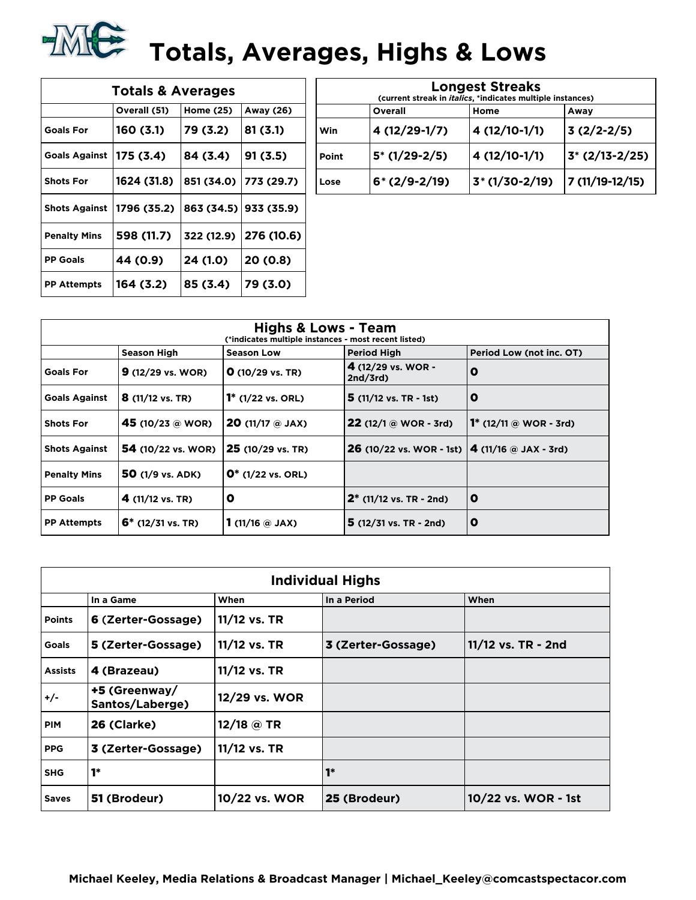

| <b>Totals &amp; Averages</b> |              |            |                       |  |  |  |  |  |  |  |
|------------------------------|--------------|------------|-----------------------|--|--|--|--|--|--|--|
|                              | Overall (51) | Home (25)  | Away (26)             |  |  |  |  |  |  |  |
| <b>Goals For</b>             | 160 (3.1)    | 79 (3.2)   | 81(3.1)               |  |  |  |  |  |  |  |
| <b>Goals Against</b>         | 175 (3.4)    | 84 (3.4)   | 91(3.5)               |  |  |  |  |  |  |  |
| <b>Shots For</b>             | 1624 (31.8)  | 851 (34.0) | 773 (29.7)            |  |  |  |  |  |  |  |
| <b>Shots Against</b>         | 1796 (35.2)  |            | 863 (34.5) 933 (35.9) |  |  |  |  |  |  |  |
| <b>Penalty Mins</b>          | 598 (11.7)   | 322 (12.9) | 276 (10.6)            |  |  |  |  |  |  |  |
| <b>PP Goals</b>              | 44 (0.9)     | 24 (1.0)   | 20 (0.8)              |  |  |  |  |  |  |  |
| <b>PP Attempts</b>           | 164 (3.2)    | 85 (3.4)   | 79 (3.0)              |  |  |  |  |  |  |  |

| <b>Longest Streaks</b><br>(current streak in <i>italics</i> , *indicates multiple instances) |                         |                 |                 |  |  |  |  |  |  |
|----------------------------------------------------------------------------------------------|-------------------------|-----------------|-----------------|--|--|--|--|--|--|
|                                                                                              | Overall<br>Home<br>Away |                 |                 |  |  |  |  |  |  |
| l Win                                                                                        | 4 (12/29-1/7)           | 4 (12/10-1/1)   | $3(2/2-2/5)$    |  |  |  |  |  |  |
| Point                                                                                        | $5*(1/29-2/5)$          | 4 (12/10-1/1)   | $3*(2/13-2/25)$ |  |  |  |  |  |  |
| Lose                                                                                         | $6*(2/9-2/19)$          | $3*(1/30-2/19)$ | 7 (11/19-12/15) |  |  |  |  |  |  |

| <b>Highs &amp; Lows - Team</b><br>(*indicates multiple instances - most recent listed) |                             |                                    |                                                               |                               |  |  |  |  |  |  |
|----------------------------------------------------------------------------------------|-----------------------------|------------------------------------|---------------------------------------------------------------|-------------------------------|--|--|--|--|--|--|
|                                                                                        | Season High                 | <b>Season Low</b>                  | <b>Period High</b>                                            | Period Low (not inc. OT)      |  |  |  |  |  |  |
| <b>Goals For</b>                                                                       | $9(12/29 \text{ vs. } WOR)$ | $Q(10/29 \text{ vs. TR})$          | 4 (12/29 vs. WOR -<br>2nd/3rd                                 | O                             |  |  |  |  |  |  |
| <b>Goals Against</b>                                                                   | $8(11/12 \text{ vs. TR})$   | <b>1</b> $(1/22 \text{ vs. } ORL)$ | $5(11/12 \text{ vs. TR } -1st)$                               | O                             |  |  |  |  |  |  |
| <b>Shots For</b>                                                                       | 45 (10/23 @ WOR)            | $20(11/17)$ @ JAX)                 | <b>22</b> (12/1 $\omega$ WOR - 3rd)                           | <b>1*</b> (12/11 @ WOR - 3rd) |  |  |  |  |  |  |
| <b>Shots Against</b>                                                                   | <b>54</b> (10/22 vs. WOR)   | 25 (10/29 vs. TR)                  | <b>26</b> (10/22 vs. WOR - 1st) $\vert$ 4 (11/16 @ JAX - 3rd) |                               |  |  |  |  |  |  |
| <b>Penalty Mins</b>                                                                    | 50 (1/9 vs. ADK)            | $0^*$ (1/22 vs. ORL)               |                                                               |                               |  |  |  |  |  |  |
| <b>PP Goals</b>                                                                        | 4 $(11/12 \text{ vs. TR})$  | $\mathbf o$                        | $2^*$ (11/12 vs. TR - 2nd)                                    | O                             |  |  |  |  |  |  |
| <b>PP Attempts</b>                                                                     | $6*$ (12/31 vs. TR)         | 1 (11/16 $\circledcirc$ JAX)       | $5(12/31 \text{ vs. TR} - 2nd)$                               | O                             |  |  |  |  |  |  |

|                | <b>Individual Highs</b>          |               |                    |                     |  |  |  |  |  |  |
|----------------|----------------------------------|---------------|--------------------|---------------------|--|--|--|--|--|--|
|                | In a Game                        | When          | In a Period        | When                |  |  |  |  |  |  |
| <b>Points</b>  | 6 (Zerter-Gossage)               | 11/12 vs. TR  |                    |                     |  |  |  |  |  |  |
| <b>Goals</b>   | 5 (Zerter-Gossage)               | 11/12 vs. TR  | 3 (Zerter-Gossage) | 11/12 vs. TR - 2nd  |  |  |  |  |  |  |
| <b>Assists</b> | 4 (Brazeau)                      | 11/12 vs. TR  |                    |                     |  |  |  |  |  |  |
| +/-            | +5 (Greenway/<br>Santos/Laberge) | 12/29 vs. WOR |                    |                     |  |  |  |  |  |  |
| <b>PIM</b>     | 26 (Clarke)                      | 12/18 @ TR    |                    |                     |  |  |  |  |  |  |
| <b>PPG</b>     | 3 (Zerter-Gossage)               | 11/12 vs. TR  |                    |                     |  |  |  |  |  |  |
| <b>SHG</b>     | $1*$                             |               | $1*$               |                     |  |  |  |  |  |  |
| <b>Saves</b>   | 51 (Brodeur)                     | 10/22 vs. WOR | 25 (Brodeur)       | 10/22 vs. WOR - 1st |  |  |  |  |  |  |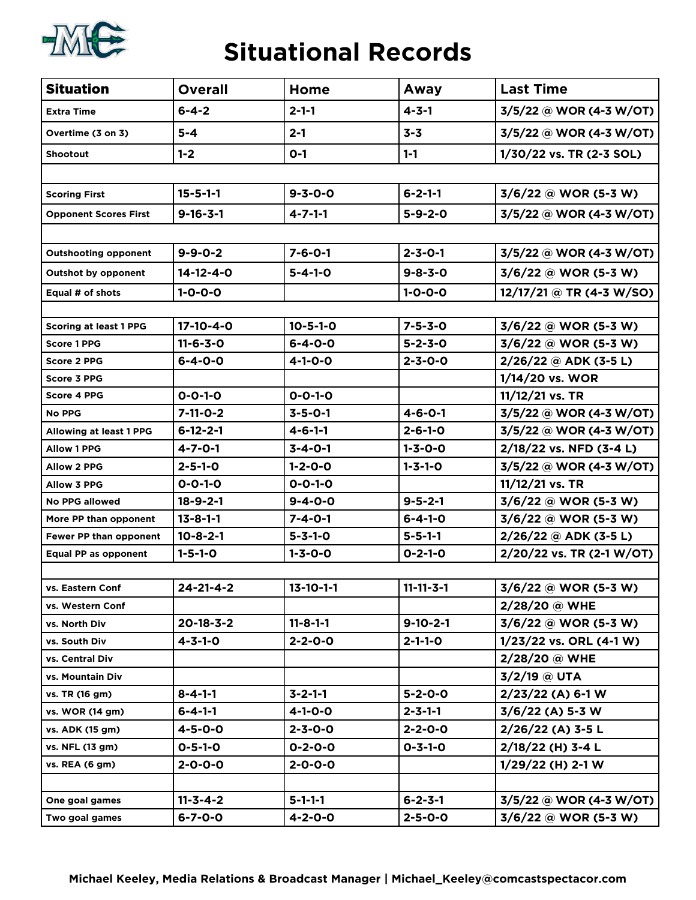

#### **Situational Records**

| <b>Situation</b>               | <b>Overall</b>    | Home              | Away              | <b>Last Time</b>          |
|--------------------------------|-------------------|-------------------|-------------------|---------------------------|
| <b>Extra Time</b>              | $6 - 4 - 2$       | $2 - 1 - 1$       | $4 - 3 - 1$       | 3/5/22 @ WOR (4-3 W/OT)   |
| Overtime (3 on 3)              | $5 - 4$           | $2 - 1$           | $3 - 3$           | 3/5/22 @ WOR (4-3 W/OT)   |
| <b>Shootout</b>                | $1 - 2$           | $O-1$             | $1 - 1$           | 1/30/22 vs. TR (2-3 SOL)  |
|                                |                   |                   |                   |                           |
| <b>Scoring First</b>           | $15 - 5 - 1 - 1$  | $9 - 3 - 0 - 0$   | $6 - 2 - 1 - 1$   | $3/6/22$ @ WOR (5-3 W)    |
| <b>Opponent Scores First</b>   | $9 - 16 - 3 - 1$  | $4 - 7 - 1 - 1$   | $5 - 9 - 2 - 0$   | 3/5/22 @ WOR (4-3 W/OT)   |
|                                |                   |                   |                   |                           |
| <b>Outshooting opponent</b>    | $9 - 9 - 0 - 2$   | $7 - 6 - 0 - 1$   | $2 - 3 - 0 - 1$   | 3/5/22 @ WOR (4-3 W/OT)   |
| <b>Outshot by opponent</b>     | $14 - 12 - 4 - 0$ | $5 - 4 - 1 - 0$   | $9 - 8 - 3 - 0$   | 3/6/22 @ WOR (5-3 W)      |
| Equal # of shots               | $1 - 0 - 0 - 0$   |                   | $1 - 0 - 0 - 0$   | 12/17/21 @ TR (4-3 W/SO)  |
|                                |                   |                   |                   |                           |
| <b>Scoring at least 1 PPG</b>  | 17-10-4-0         | $10 - 5 - 1 - 0$  | $7 - 5 - 3 - 0$   | 3/6/22 @ WOR (5-3 W)      |
| <b>Score 1 PPG</b>             | $11 - 6 - 3 - 0$  | $6 - 4 - 0 - 0$   | $5 - 2 - 3 - 0$   | 3/6/22 @ WOR (5-3 W)      |
| <b>Score 2 PPG</b>             | $6 - 4 - 0 - 0$   | $4 - 1 - 0 - 0$   | $2 - 3 - 0 - 0$   | $2/26/22$ @ ADK (3-5 L)   |
| <b>Score 3 PPG</b>             |                   |                   |                   | 1/14/20 vs. WOR           |
| <b>Score 4 PPG</b>             | $0 - 0 - 1 - 0$   | $0 - 0 - 1 - 0$   |                   | 11/12/21 vs. TR           |
| <b>No PPG</b>                  | $7 - 11 - 0 - 2$  | $3 - 5 - 0 - 1$   | $4 - 6 - 0 - 1$   | 3/5/22 @ WOR (4-3 W/OT)   |
| <b>Allowing at least 1 PPG</b> | $6 - 12 - 2 - 1$  | $4 - 6 - 1 - 1$   | $2 - 6 - 1 - 0$   | 3/5/22 @ WOR (4-3 W/OT)   |
| <b>Allow 1 PPG</b>             | $4 - 7 - 0 - 1$   | $3 - 4 - 0 - 1$   | $1 - 3 - 0 - 0$   | 2/18/22 vs. NFD (3-4 L)   |
| <b>Allow 2 PPG</b>             | $2 - 5 - 1 - 0$   | $1 - 2 - 0 - 0$   | $1 - 3 - 1 - 0$   | 3/5/22 @ WOR (4-3 W/OT)   |
| <b>Allow 3 PPG</b>             | $0 - 0 - 1 - 0$   | $0 - 0 - 1 - 0$   |                   | 11/12/21 vs. TR           |
| <b>No PPG allowed</b>          | $18 - 9 - 2 - 1$  | $9 - 4 - 0 - 0$   | $9 - 5 - 2 - 1$   | 3/6/22 @ WOR (5-3 W)      |
| More PP than opponent          | $13 - 8 - 1 - 1$  | $7 - 4 - 0 - 1$   | $6 - 4 - 1 - 0$   | 3/6/22 @ WOR (5-3 W)      |
| Fewer PP than opponent         | $10 - 8 - 2 - 1$  | $5 - 3 - 1 - 0$   | $5 - 5 - 1 - 1$   | $2/26/22$ @ ADK (3-5 L)   |
| <b>Equal PP as opponent</b>    | $1 - 5 - 1 - 0$   | $1 - 3 - 0 - 0$   | $0 - 2 - 1 - 0$   | 2/20/22 vs. TR (2-1 W/OT) |
|                                |                   |                   |                   |                           |
| vs. Eastern Conf               | $24 - 21 - 4 - 2$ | $13 - 10 - 1 - 1$ | $11 - 11 - 3 - 1$ | 3/6/22 @ WOR (5-3 W)      |
| vs. Western Conf               |                   |                   |                   | 2/28/20 @ WHE             |
| vs. North Div                  | $20 - 18 - 3 - 2$ | $11 - 8 - 1 - 1$  | $9-10-2-1$        | 3/6/22 @ WOR (5-3 W)      |
| vs. South Div                  | $4 - 3 - 1 - 0$   | $2 - 2 - 0 - 0$   | $2 - 1 - 1 - 0$   | 1/23/22 vs. ORL (4-1 W)   |
| vs. Central Div                |                   |                   |                   | 2/28/20 @ WHE             |
| vs. Mountain Div               |                   |                   |                   | $3/2/19$ @ UTA            |
| vs. TR (16 gm)                 | $8 - 4 - 1 - 1$   | $3 - 2 - 1 - 1$   | $5 - 2 - 0 - 0$   | $2/23/22$ (A) 6-1 W       |
| vs. WOR (14 gm)                | $6 - 4 - 1 - 1$   | $4 - 1 - 0 - 0$   | $2 - 3 - 1 - 1$   | $3/6/22$ (A) 5-3 W        |
| vs. ADK (15 gm)                | $4 - 5 - 0 - 0$   | $2 - 3 - 0 - 0$   | $2 - 2 - 0 - 0$   | 2/26/22 (A) 3-5 L         |
| vs. NFL (13 gm)                | $0 - 5 - 1 - 0$   | $0 - 2 - 0 - 0$   | $0 - 3 - 1 - 0$   | 2/18/22 (H) 3-4 L         |
| vs. REA (6 gm)                 | $2 - 0 - 0 - 0$   | $2 - 0 - 0 - 0$   |                   | $1/29/22$ (H) 2-1 W       |
|                                |                   |                   |                   |                           |
| One goal games                 | $11 - 3 - 4 - 2$  | $5 - 1 - 1 - 1$   | $6 - 2 - 3 - 1$   | 3/5/22 @ WOR (4-3 W/OT)   |
| Two goal games                 | $6 - 7 - 0 - 0$   | $4 - 2 - 0 - 0$   | $2 - 5 - 0 - 0$   | $3/6/22$ @ WOR (5-3 W)    |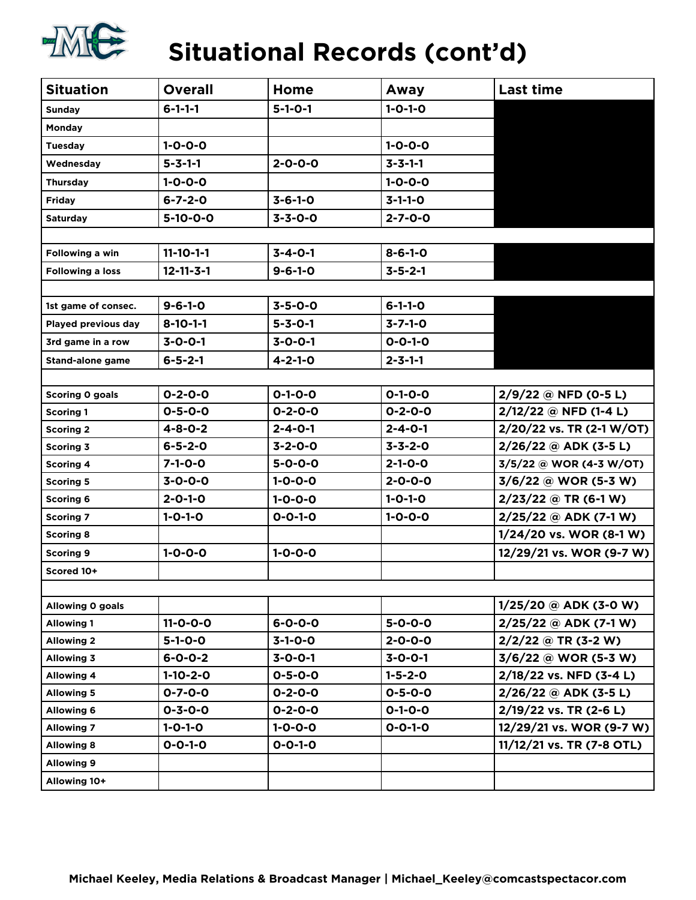

# **Situational Records (cont'd)**

| <b>Situation</b>                  | <b>Overall</b>    | Home            | Away            | <b>Last time</b>          |
|-----------------------------------|-------------------|-----------------|-----------------|---------------------------|
| <b>Sunday</b>                     | $6 - 1 - 1 - 1$   | $5 - 1 - 0 - 1$ | $1 - 0 - 1 - 0$ |                           |
| Monday                            |                   |                 |                 |                           |
| $1 - 0 - 0 - 0$<br><b>Tuesday</b> |                   |                 | $1 - 0 - 0 - 0$ |                           |
| Wednesday                         | $5 - 3 - 1 - 1$   | $2 - 0 - 0 - 0$ | $3 - 3 - 1 - 1$ |                           |
| Thursday                          | $1 - 0 - 0 - 0$   |                 | $1 - 0 - 0 - 0$ |                           |
| <b>Friday</b>                     | $6 - 7 - 2 - 0$   | $3 - 6 - 1 - 0$ | $3 - 1 - 1 - 0$ |                           |
| <b>Saturday</b>                   | $5-10-0-0$        | $3 - 3 - 0 - 0$ | $2 - 7 - 0 - 0$ |                           |
|                                   |                   |                 |                 |                           |
| Following a win                   | $11 - 10 - 1 - 1$ | $3 - 4 - 0 - 1$ | $8 - 6 - 1 - 0$ |                           |
| <b>Following a loss</b>           | $12 - 11 - 3 - 1$ | $9 - 6 - 1 - 0$ | $3 - 5 - 2 - 1$ |                           |
|                                   |                   |                 |                 |                           |
| 1st game of consec.               | $9 - 6 - 1 - 0$   | $3 - 5 - 0 - 0$ | $6 - 1 - 1 - 0$ |                           |
| Played previous day               | $8 - 10 - 1 - 1$  | $5 - 3 - 0 - 1$ | $3 - 7 - 1 - 0$ |                           |
| 3rd game in a row                 | $3 - 0 - 0 - 1$   | $3 - 0 - 0 - 1$ | $0 - 0 - 1 - 0$ |                           |
| <b>Stand-alone game</b>           | $6 - 5 - 2 - 1$   | $4 - 2 - 1 - 0$ | $2 - 3 - 1 - 1$ |                           |
|                                   |                   |                 |                 |                           |
| Scoring 0 goals                   | $0 - 2 - 0 - 0$   | $0 - 1 - 0 - 0$ | $0 - 1 - 0 - 0$ | $2/9/22$ @ NFD (0-5 L)    |
| <b>Scoring 1</b>                  | $0 - 5 - 0 - 0$   | $0 - 2 - 0 - 0$ | $0 - 2 - 0 - 0$ | 2/12/22 @ NFD (1-4 L)     |
| <b>Scoring 2</b>                  | $4 - 8 - 0 - 2$   | $2 - 4 - 0 - 1$ | $2 - 4 - 0 - 1$ | 2/20/22 vs. TR (2-1 W/OT) |
| <b>Scoring 3</b>                  | $6 - 5 - 2 - 0$   | $3 - 2 - 0 - 0$ | $3 - 3 - 2 - 0$ | $2/26/22$ @ ADK (3-5 L)   |
| <b>Scoring 4</b>                  | $7 - 1 - 0 - 0$   | $5 - 0 - 0 - 0$ | $2 - 1 - 0 - 0$ | 3/5/22 @ WOR (4-3 W/OT)   |
| <b>Scoring 5</b>                  | $3 - 0 - 0 - 0$   | $1 - 0 - 0 - 0$ | $2 - 0 - 0 - 0$ | $3/6/22$ @ WOR (5-3 W)    |
| <b>Scoring 6</b>                  | $2 - 0 - 1 - 0$   | $1 - 0 - 0 - 0$ | $1 - 0 - 1 - 0$ | $2/23/22$ @ TR (6-1 W)    |
| <b>Scoring 7</b>                  | $1 - 0 - 1 - 0$   | $0 - 0 - 1 - 0$ | $1 - 0 - 0 - 0$ | $2/25/22$ @ ADK (7-1 W)   |
| <b>Scoring 8</b>                  |                   |                 |                 | 1/24/20 vs. WOR (8-1 W)   |
| <b>Scoring 9</b>                  | $1 - 0 - 0 - 0$   | $1 - 0 - 0 - 0$ |                 | 12/29/21 vs. WOR (9-7 W)  |
| Scored 10+                        |                   |                 |                 |                           |
|                                   |                   |                 |                 |                           |
| Allowing 0 goals                  |                   |                 |                 | $1/25/20$ @ ADK (3-0 W)   |
| <b>Allowing 1</b>                 | $11 - 0 - 0 - 0$  | $6 - 0 - 0 - 0$ | $5 - 0 - 0 - 0$ | $2/25/22$ @ ADK (7-1 W)   |
| <b>Allowing 2</b>                 | $5 - 1 - 0 - 0$   | $3-1-0-0$       | $2 - 0 - 0 - 0$ | $2/2/22$ @ TR (3-2 W)     |
| <b>Allowing 3</b>                 | $6 - 0 - 0 - 2$   | $3 - 0 - 0 - 1$ | $3 - 0 - 0 - 1$ | 3/6/22 @ WOR (5-3 W)      |
| <b>Allowing 4</b>                 | $1-10-2-0$        | $0 - 5 - 0 - 0$ | $1 - 5 - 2 - 0$ | 2/18/22 vs. NFD (3-4 L)   |
| <b>Allowing 5</b>                 | $0 - 7 - 0 - 0$   | $0 - 2 - 0 - 0$ | $0 - 5 - 0 - 0$ | $2/26/22$ @ ADK (3-5 L)   |
| <b>Allowing 6</b>                 | $0 - 3 - 0 - 0$   | $0 - 2 - 0 - 0$ | $0 - 1 - 0 - 0$ | 2/19/22 vs. TR (2-6 L)    |
| <b>Allowing 7</b>                 | $1 - 0 - 1 - 0$   | $1 - 0 - 0 - 0$ | $0 - 0 - 1 - 0$ | 12/29/21 vs. WOR (9-7 W)  |
| <b>Allowing 8</b>                 | $0 - 0 - 1 - 0$   | $0 - 0 - 1 - 0$ |                 | 11/12/21 vs. TR (7-8 OTL) |
| <b>Allowing 9</b>                 |                   |                 |                 |                           |
| Allowing 10+                      |                   |                 |                 |                           |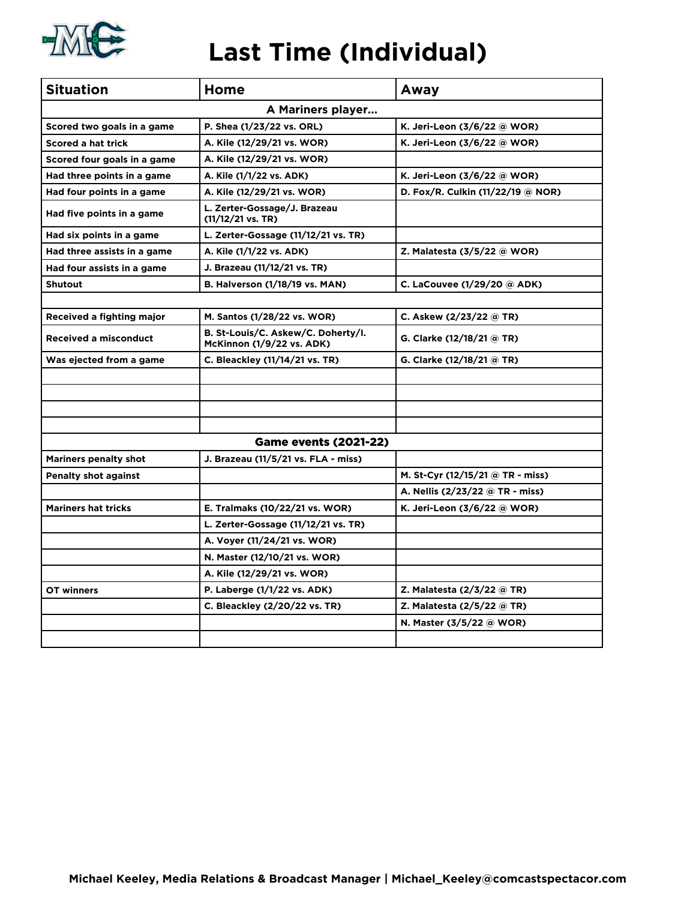

### **Last Time (Individual)**

| <b>Situation</b>             | Home                                                                   | Away                              |  |  |
|------------------------------|------------------------------------------------------------------------|-----------------------------------|--|--|
|                              | A Mariners player                                                      |                                   |  |  |
| Scored two goals in a game   | P. Shea (1/23/22 vs. ORL)                                              | K. Jeri-Leon (3/6/22 @ WOR)       |  |  |
| <b>Scored a hat trick</b>    | A. Kile (12/29/21 vs. WOR)                                             | K. Jeri-Leon (3/6/22 @ WOR)       |  |  |
| Scored four goals in a game  | A. Kile (12/29/21 vs. WOR)                                             |                                   |  |  |
| Had three points in a game   | A. Kile (1/1/22 vs. ADK)                                               | K. Jeri-Leon (3/6/22 @ WOR)       |  |  |
| Had four points in a game    | A. Kile (12/29/21 vs. WOR)                                             | D. Fox/R. Culkin (11/22/19 @ NOR) |  |  |
| Had five points in a game    | L. Zerter-Gossage/J. Brazeau<br>$(11/12/21 \text{ vs. TR})$            |                                   |  |  |
| Had six points in a game     | L. Zerter-Gossage (11/12/21 vs. TR)                                    |                                   |  |  |
| Had three assists in a game  | A. Kile (1/1/22 vs. ADK)                                               | Z. Malatesta (3/5/22 @ WOR)       |  |  |
| Had four assists in a game   | J. Brazeau (11/12/21 vs. TR)                                           |                                   |  |  |
| <b>Shutout</b>               | <b>B. Halverson (1/18/19 vs. MAN)</b>                                  | C. LaCouvee (1/29/20 @ ADK)       |  |  |
|                              |                                                                        |                                   |  |  |
| Received a fighting major    | M. Santos (1/28/22 vs. WOR)                                            | C. Askew (2/23/22 @ TR)           |  |  |
| <b>Received a misconduct</b> | B. St-Louis/C. Askew/C. Doherty/I.<br><b>McKinnon (1/9/22 vs. ADK)</b> | G. Clarke (12/18/21 @ TR)         |  |  |
| Was ejected from a game      | C. Bleackley (11/14/21 vs. TR)                                         | G. Clarke (12/18/21 @ TR)         |  |  |
|                              |                                                                        |                                   |  |  |
|                              |                                                                        |                                   |  |  |
|                              |                                                                        |                                   |  |  |
|                              |                                                                        |                                   |  |  |
|                              | <b>Game events (2021-22)</b>                                           |                                   |  |  |
| <b>Mariners penalty shot</b> | J. Brazeau (11/5/21 vs. FLA - miss)                                    |                                   |  |  |
| <b>Penalty shot against</b>  |                                                                        | M. St-Cyr (12/15/21 @ TR - miss)  |  |  |
|                              |                                                                        | A. Nellis (2/23/22 @ TR - miss)   |  |  |
| <b>Mariners hat tricks</b>   | E. Tralmaks (10/22/21 vs. WOR)                                         | K. Jeri-Leon (3/6/22 @ WOR)       |  |  |
|                              | L. Zerter-Gossage (11/12/21 vs. TR)                                    |                                   |  |  |
|                              | A. Voyer (11/24/21 vs. WOR)                                            |                                   |  |  |
|                              | N. Master (12/10/21 vs. WOR)                                           |                                   |  |  |
|                              | A. Kile (12/29/21 vs. WOR)                                             |                                   |  |  |
| OT winners                   | P. Laberge (1/1/22 vs. ADK)                                            | Z. Malatesta (2/3/22 @ TR)        |  |  |
|                              | C. Bleackley (2/20/22 vs. TR)                                          | Z. Malatesta (2/5/22 @ TR)        |  |  |
|                              |                                                                        | N. Master (3/5/22 @ WOR)          |  |  |
|                              |                                                                        |                                   |  |  |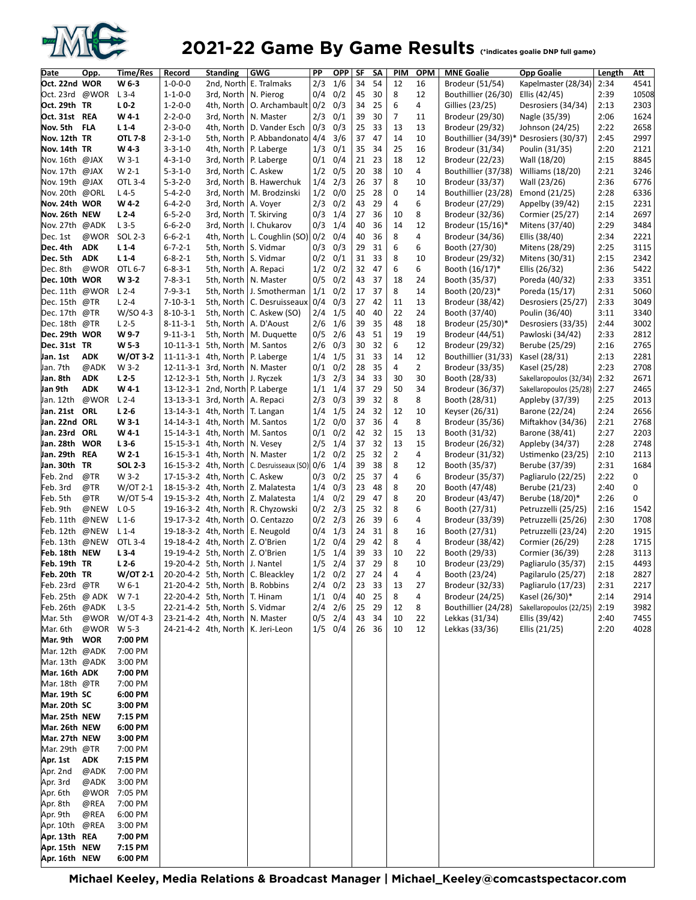

#### **2021-22 Game By Game Results** (\*indicates goalie DNP full game)

| Date            | Opp.       | Time/Res          | Record           | <b>Standing</b>                        | <b>GWG</b>                           | PP  | OPP SF      |    | SΑ    | PIM            | <b>OPM</b>     | <b>MNE Goalie</b>    | <b>Opp Goalie</b>       | Length | Att   |
|-----------------|------------|-------------------|------------------|----------------------------------------|--------------------------------------|-----|-------------|----|-------|----------------|----------------|----------------------|-------------------------|--------|-------|
| Oct. 22nd WOR   |            | W 6-3             | $1 - 0 - 0 - 0$  | 2nd, North                             | E. Tralmaks                          | 2/3 | 1/6         | 34 | 54    | 12             | 16             | Brodeur (51/54)      | Kapelmaster (28/34)     | 2:34   | 4541  |
| Oct. 23rd @WOR  |            | $L$ 3-4           | $1 - 1 - 0 - 0$  | 3rd, North                             | N. Pierog                            | 0/4 | 0/2         | 45 | 30    | 8              | 12             | Bouthillier (26/30)  | Ellis (42/45)           | 2:39   | 10508 |
| Oct. 29th TR    |            | $L0-2$            | $1 - 2 - 0 - 0$  | 4th, North                             | O. Archambault 0/2                   |     | 0/3         | 34 | 25    | 6              | 4              | Gillies (23/25)      | Desrosiers (34/34)      | 2:13   | 2303  |
| Oct. 31st REA   |            | W4-1              | $2 - 2 - 0 - 0$  | 3rd, North                             | N. Master                            | 2/3 | 0/1         | 39 | 30    | $\overline{7}$ | 11             | Brodeur (29/30)      | Nagle (35/39)           | 2:06   | 1624  |
| Nov. 5th        | <b>FLA</b> | $L1-4$            | $2 - 3 - 0 - 0$  | 4th, North                             |                                      | 0/3 | 0/3         | 25 | 33    | 13             | 13             |                      | Johnson (24/25)         | 2:22   | 2658  |
|                 |            |                   |                  |                                        | D. Vander Esch<br>P. Abbandonato 4/4 |     |             |    | 47    |                | 10             | Brodeur (29/32)      |                         |        |       |
| Nov. 12th TR    |            | <b>OTL 7-8</b>    | $2 - 3 - 1 - 0$  | 5th, North                             |                                      |     | 3/6         | 37 |       | 14             |                | Bouthillier (34/39)* | Desrosiers (30/37)      | 2:45   | 2997  |
| Nov. 14th TR    |            | W4-3              | $3 - 3 - 1 - 0$  | 4th, North                             | P. Laberge                           | 1/3 | 0/1         | 35 | 34    | 25             | 16             | Brodeur (31/34)      | Poulin (31/35)          | 2:20   | 2121  |
| Nov. 16th @JAX  |            | $W$ 3-1           | $4 - 3 - 1 - 0$  | 3rd, North                             | P. Laberge                           | 0/1 | 0/4         | 21 | 23    | 18             | 12             | Brodeur (22/23)      | Wall (18/20)            | 2:15   | 8845  |
| Nov. 17th @JAX  |            | W 2-1             | $5 - 3 - 1 - 0$  | 3rd, North                             | C. Askew                             | 1/2 | 0/5         | 20 | 38    | 10             | 4              | Bouthillier (37/38)  | Williams (18/20)        | 2:21   | 3246  |
| Nov. 19th @JAX  |            | OTL 3-4           | $5 - 3 - 2 - 0$  | 3rd, North                             | <b>B.</b> Hawerchuk                  | 1/4 | 2/3         | 26 | 37    | 8              | 10             | Brodeur (33/37)      | Wall (23/26)            | 2:36   | 6776  |
| Nov. 20th @ORL  |            | $L4-5$            | $5 - 4 - 2 - 0$  | 3rd, North                             | M. Brodzinski                        | 1/2 | 0/0         | 25 | 28    | 0              | 14             | Bouthillier (23/28)  | Emond (21/25)           | 2:28   | 6336  |
| Nov. 24th WOR   |            | W 4-2             | $6 - 4 - 2 - 0$  | 3rd, North                             | A. Voyer                             | 2/3 | 0/2         | 43 | 29    | $\overline{4}$ | 6              | Brodeur (27/29)      | Appelby (39/42)         | 2:15   | 2231  |
| Nov. 26th NEW   |            | $L2-4$            | $6 - 5 - 2 - 0$  | 3rd, North                             | T. Skirving                          | 0/3 | 1/4         | 27 | 36    | 10             | 8              | Brodeur (32/36)      | Cormier (25/27)         | 2:14   | 2697  |
| Nov. 27th @ADK  |            | $L$ 3-5           | $6 - 6 - 2 - 0$  | 3rd, North                             | I. Chukarov                          | 0/3 | 1/4         | 40 | 36    | 14             | 12             | Brodeur (15/16)*     | Mitens (37/40)          | 2:29   | 3484  |
| Dec. 1st        | @WOR       | SOL 2-3           | $6 - 6 - 2 - 1$  | 4th, North                             | L. Coughlin (SO) 0/2                 |     | 0/4         | 40 | 36    | 8              | 4              | Brodeur (34/36)      | Ellis (38/40)           | 2:34   | 2221  |
| Dec. 4th        | <b>ADK</b> | $L1-4$            | $6 - 7 - 2 - 1$  | 5th, North                             | S. Vidmar                            | 0/3 | 0/3         | 29 | 31    | 6              | 6              | Booth (27/30)        | Mitens (28/29)          | 2:25   | 3115  |
| Dec. 5th        | <b>ADK</b> | $L1-4$            | $6 - 8 - 2 - 1$  | 5th, North                             | S. Vidmar                            | 0/2 | 0/1         | 31 | 33    | 8              | 10             | Brodeur (29/32)      | Mitens (30/31)          | 2:15   | 2342  |
| Dec. 8th        | @WOR       | OTL 6-7           | $6 - 8 - 3 - 1$  | 5th, North                             | A. Repaci                            | 1/2 | 0/2         | 32 | 47    | 6              | 6              | Booth (16/17)*       | Ellis (26/32)           | 2:36   | 5422  |
| Dec. 10th WOR   |            | W 3-2             | $7 - 8 - 3 - 1$  | 5th, North   N. Master                 |                                      | 0/5 | 0/2         | 43 | 37    | 18             | 24             | Booth (35/37)        | Poreda (40/32)          | 2:33   | 3351  |
| Dec. 11th       | @WOR       | $L2-4$            | $7 - 9 - 3 - 1$  | 5th, North                             | J. Smotherman                        | 1/1 | 0/2         | 17 | 37    | 8              | 14             | Booth (20/23)*       | Poreda (15/17)          | 2:31   | 5060  |
| Dec. 15th @TR   |            | $L2-4$            | $7 - 10 - 3 - 1$ | 5th, North                             | C. Desruisseaux                      | 0/4 | 0/3         | 27 | 42    | 11             | 13             | Brodeur (38/42)      | Desrosiers (25/27)      | 2:33   | 3049  |
| Dec. 17th       | @TR        | W/SO 4-3          | $8 - 10 - 3 - 1$ | 5th, North                             | C. Askew (SO)                        | 2/4 | 1/5         | 40 | 40    | 22             | 24             | Booth (37/40)        | Poulin (36/40)          | 3:11   | 3340  |
| Dec. 18th @TR   |            | $L2-5$            | $8 - 11 - 3 - 1$ | 5th, North                             | A. D'Aoust                           | 2/6 | 1/6         | 39 | 35    | 48             | 18             | Brodeur (25/30)*     | Desrosiers (33/35)      | 2:44   | 3002  |
| Dec. 29th WOR   |            | W 9-7             | $9 - 11 - 3 - 1$ | 5th, North                             | M. Duquette                          | 0/5 | 2/6         | 43 | 51    | 19             | 19             | Brodeur (44/51)      | Pawloski (34/42)        | 2:33   | 2812  |
| Dec. 31st TR    |            | W <sub>5</sub> -3 |                  | 10-11-3-1 5th, North                   | M. Santos                            | 2/6 | 0/3         | 30 | 32    | 6              | 12             | Brodeur (29/32)      | Berube (25/29)          | 2:16   | 2765  |
| Jan. 1st        | <b>ADK</b> | W/OT 3-2          |                  | 11-11-3-1 4th, North                   | P. Laberge                           | 1/4 | 1/5         | 31 | 33    | 14             | 12             | Bouthillier (31/33)  | Kasel (28/31)           | 2:13   | 2281  |
| Jan. 7th        | @ADK       | W 3-2             |                  | 12-11-3-1 3rd, North                   | N. Master                            | 0/1 | 0/2         | 28 | 35    | 4              | $\overline{2}$ | Brodeur (33/35)      | Kasel (25/28)           | 2:23   | 2708  |
| Jan. 8th        | <b>ADK</b> | $L2-5$            |                  | 12-12-3-1 5th, North                   | J. Ryczek                            | 1/3 | 2/3         | 34 | 33    | 30             | 30             | Booth (28/33)        | Sakellaropoulos (32/34) | 2:32   | 2671  |
| Jan 9th         | <b>ADK</b> | W4-1              |                  | 13-12-3-1 2nd, North P. Laberge        |                                      | 1/1 | 1/4         | 37 | 29    | 50             | 34             | Brodeur (36/37)      | Sakellaropoulos (25/28) | 2:27   | 2465  |
| Jan. 12th       | @WOR       | $L2-4$            |                  | 13-13-3-1 3rd, North                   | A. Repaci                            | 2/3 | 0/3         | 39 | 32    | 8              | 8              | Booth (28/31)        | Appleby (37/39)         | 2:25   | 2013  |
| Jan. 21st ORL   |            | $L2-6$            |                  | 13-14-3-1 4th, North                   | T. Langan                            | 1/4 | 1/5         | 24 | 32    | 12             | 10             | Keyser (26/31)       | Barone (22/24)          | 2:24   | 2656  |
| Jan. 22nd ORL   |            | $W3-1$            |                  | 14-14-3-1 4th, North                   | M. Santos                            | 1/2 | 0/0         | 37 | 36    | 4              | 8              | Brodeur (35/36)      | Miftakhov (34/36)       | 2:21   | 2768  |
| Jan. 23rd       | ORL        | W4-1              |                  | 15-14-3-1 4th, North                   | M. Santos                            | 0/1 | 0/2         | 42 | 32    | 15             | 13             | Booth (31/32)        | Barone (38/41)          | 2:27   | 2203  |
| Jan. 28th WOR   |            | $L3-6$            |                  | 15-15-3-1 4th, North                   | N. Vesey                             | 2/5 | 1/4         | 37 | 32    | 13             | 15             | Brodeur (26/32)      | Appleby (34/37)         | 2:28   | 2748  |
| Jan. 29th REA   |            | $W 2-1$           |                  | 16-15-3-1 4th, North                   | N. Master                            | 1/2 | 0/2         | 25 | 32    | $\overline{2}$ | 4              | Brodeur (31/32)      | Ustimenko (23/25)       | 2:10   | 2113  |
| Jan. 30th TR    |            | <b>SOL 2-3</b>    |                  | 16-15-3-2 4th, North                   | C. Desruisseaux (SO)                 | 0/6 | 1/4         | 39 | 38    | 8              | 12             | Booth (35/37)        | Berube (37/39)          | 2:31   | 1684  |
| Feb. 2nd        | @TR        | W 3-2             |                  | 17-15-3-2 4th, North                   | C. Askew                             | 0/3 | 0/2         | 25 | 37    | 4              | 6              | Brodeur (35/37)      | Pagliarulo (22/25)      | 2:22   | 0     |
| Feb. 3rd        | @TR        | $W$ /OT 2-1       |                  | 18-15-3-2 4th, North                   | Z. Malatesta                         | 1/4 | 0/3         | 23 | 48    | 8              | 20             | Booth (47/48)        | Berube (21/23)          | 2:40   | 0     |
| Feb. 5th        | @TR        | W/OT 5-4          |                  | 19-15-3-2 4th, North                   | Z. Malatesta                         | 1/4 | 0/2         | 29 | 47    | 8              | 20             | Brodeur (43/47)      | Berube (18/20)*         | 2:26   | 0     |
| Feb. 9th        | @NEW       | $L0-5$            |                  | 19-16-3-2 4th, North                   | R. Chyzowski                         | 0/2 | 2/3         | 25 | 32    | 8              | 6              | Booth (27/31)        | Petruzzelli (25/25)     | 2:16   | 1542  |
| Feb. 11th       | @NEW       | $L$ 1-6           |                  | 19-17-3-2 4th, North                   | O. Centazzo                          | 0/2 | 2/3         | 26 | 39    | 6              | 4              | Brodeur (33/39)      | Petruzzelli (25/26)     | 2:30   | 1708  |
| Feb. 12th       | @NEW       | $L_1 - 4$         |                  | 19-18-3-2 4th, North                   | E. Neugold                           | 0/4 | 1/3         | 24 | 31    | 8              | 16             | Booth (27/31)        | Petruzzelli (23/24)     | 2:20   | 1915  |
| Feb. 13th       | @NEW       | OTL 3-4           |                  | 19-18-4-2 4th, North                   | Z. O'Brien                           | 1/2 | 0/4         | 29 | 42    | 8              | 4              | Brodeur (38/42)      | Cormier (26/29)         | 2:28   | 1715  |
| Feb. 18th NEW   |            | $L3-4$            |                  | 19-19-4-2 5th, North                   | Z. O'Brien                           | 1/5 | 1/4         | 39 | 33    | 10             | 22             | Booth (29/33)        | Cormier (36/39)         | 2:28   | 3113  |
| Feb. 19th TR    |            | $L2-6$            |                  | 19-20-4-2 5th, North                   | J. Nantel                            | 1/5 | 2/4         | 37 | 29    | 8              | 10             | Brodeur (23/29)      | Pagliarulo (35/37)      | 2:15   | 4493  |
| Feb. 20th TR    |            | W/OT 2-1          |                  |                                        | 20-20-4-2 5th, North   C. Bleackley  |     | $1/2$ 0/2   | 27 | 24    | 4              | 4              | Booth (23/24)        | Pagilarulo (25/27)      | 2:18   | 2827  |
| Feb. 23rd @TR   |            | W 6-1             |                  | 21-20-4-2 5th, North   B. Robbins      |                                      |     | $2/4$ 0/2   | 23 | 33    | 13             | 27             | Brodeur (32/33)      | Pagliarulo (17/23)      | 2:31   | 2217  |
| Feb. 25th @ ADK |            | W 7-1             |                  | 22-20-4-2 5th, North   T. Hinam        |                                      |     | $1/1$ 0/4   | 40 | 25    | 8              | 4              | Brodeur (24/25)      | Kasel (26/30)*          | 2:14   | 2914  |
| Feb. 26th @ADK  |            | $L$ 3-5           |                  | 22-21-4-2 5th, North $\vert$ S. Vidmar |                                      |     | $2/4$ $2/6$ | 25 | 29    | 12             | 8              | Bouthillier (24/28)  | Sakellaropoulos (22/25) | 2:19   | 3982  |
| Mar. 5th        | @WOR       | W/OT 4-3          |                  | 23-21-4-2 4th, North   N. Master       |                                      |     | $0/5$ 2/4   | 43 | 34    | 10             | 22             | Lekkas (31/34)       | Ellis (39/42)           | 2:40   | 7455  |
| Mar. 6th        | @WOR       | W 5-3             |                  |                                        | 24-21-4-2 4th, North   K. Jeri-Leon  |     | $1/5$ 0/4   |    | 26 36 | 10             | 12             | Lekkas (33/36)       | Ellis (21/25)           | 2:20   | 4028  |
| Mar. 9th WOR    |            | 7:00 PM           |                  |                                        |                                      |     |             |    |       |                |                |                      |                         |        |       |
| Mar. 12th @ADK  |            | 7:00 PM           |                  |                                        |                                      |     |             |    |       |                |                |                      |                         |        |       |
| Mar. 13th @ADK  |            | 3:00 PM           |                  |                                        |                                      |     |             |    |       |                |                |                      |                         |        |       |
| Mar. 16th ADK   |            | 7:00 PM           |                  |                                        |                                      |     |             |    |       |                |                |                      |                         |        |       |
| Mar. 18th @TR   |            |                   |                  |                                        |                                      |     |             |    |       |                |                |                      |                         |        |       |
| Mar. 19th SC    |            | 7:00 PM           |                  |                                        |                                      |     |             |    |       |                |                |                      |                         |        |       |
| Mar. 20th SC    |            | 6:00 PM           |                  |                                        |                                      |     |             |    |       |                |                |                      |                         |        |       |
|                 |            | 3:00 PM           |                  |                                        |                                      |     |             |    |       |                |                |                      |                         |        |       |
| Mar. 25th NEW   |            | 7:15 PM           |                  |                                        |                                      |     |             |    |       |                |                |                      |                         |        |       |
| Mar. 26th NEW   |            | 6:00 PM           |                  |                                        |                                      |     |             |    |       |                |                |                      |                         |        |       |
| Mar. 27th NEW   |            | 3:00 PM           |                  |                                        |                                      |     |             |    |       |                |                |                      |                         |        |       |
| Mar. 29th @TR   |            | 7:00 PM           |                  |                                        |                                      |     |             |    |       |                |                |                      |                         |        |       |
| Apr. 1st        | ADK        | 7:15 PM           |                  |                                        |                                      |     |             |    |       |                |                |                      |                         |        |       |
| Apr. 2nd        | @ADK       | 7:00 PM           |                  |                                        |                                      |     |             |    |       |                |                |                      |                         |        |       |
| Apr. 3rd        | @ADK       | 3:00 PM           |                  |                                        |                                      |     |             |    |       |                |                |                      |                         |        |       |
| Apr. 6th        | @WOR       | 7:05 PM           |                  |                                        |                                      |     |             |    |       |                |                |                      |                         |        |       |
| Apr. 8th        | @REA       | 7:00 PM           |                  |                                        |                                      |     |             |    |       |                |                |                      |                         |        |       |
| Apr. 9th        | @REA       | 6:00 PM           |                  |                                        |                                      |     |             |    |       |                |                |                      |                         |        |       |
| Apr. 10th @REA  |            | 3:00 PM           |                  |                                        |                                      |     |             |    |       |                |                |                      |                         |        |       |
| Apr. 13th REA   |            | 7:00 PM           |                  |                                        |                                      |     |             |    |       |                |                |                      |                         |        |       |
| Apr. 15th NEW   |            | 7:15 PM           |                  |                                        |                                      |     |             |    |       |                |                |                      |                         |        |       |
| Apr. 16th NEW   |            | 6:00 PM           |                  |                                        |                                      |     |             |    |       |                |                |                      |                         |        |       |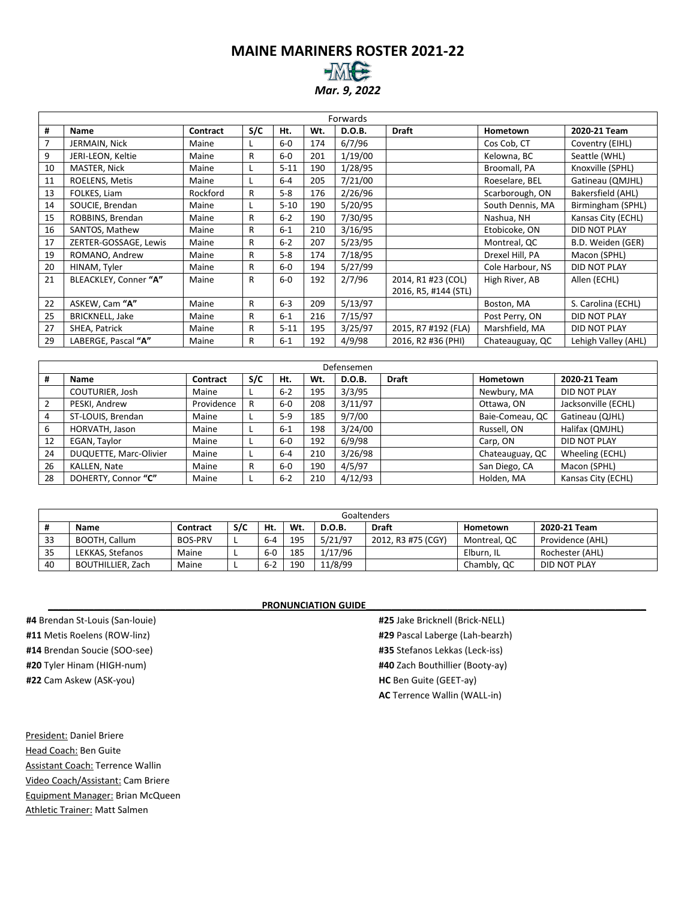# **MAINE MARINERS ROSTER 2021-22**

*Mar. 9, 2022*

|                | Forwards               |          |              |          |     |         |                      |                  |                     |  |  |  |
|----------------|------------------------|----------|--------------|----------|-----|---------|----------------------|------------------|---------------------|--|--|--|
| #              | Name                   | Contract | S/C          | Ht.      | Wt. | D.O.B.  | <b>Draft</b>         | Hometown         | 2020-21 Team        |  |  |  |
| $\overline{7}$ | JERMAIN, Nick          | Maine    |              | $6-0$    | 174 | 6/7/96  |                      | Cos Cob, CT      | Coventry (EIHL)     |  |  |  |
| 9              | JERI-LEON, Keltie      | Maine    | R            | $6-0$    | 201 | 1/19/00 |                      | Kelowna, BC      | Seattle (WHL)       |  |  |  |
| 10             | MASTER, Nick           | Maine    |              | $5 - 11$ | 190 | 1/28/95 |                      | Broomall, PA     | Knoxville (SPHL)    |  |  |  |
| 11             | ROELENS, Metis         | Maine    |              | $6 - 4$  | 205 | 7/21/00 |                      | Roeselare, BEL   | Gatineau (QMJHL)    |  |  |  |
| 13             | FOLKES, Liam           | Rockford | R            | $5 - 8$  | 176 | 2/26/96 |                      | Scarborough, ON  | Bakersfield (AHL)   |  |  |  |
| 14             | SOUCIE, Brendan        | Maine    |              | $5 - 10$ | 190 | 5/20/95 |                      | South Dennis, MA | Birmingham (SPHL)   |  |  |  |
| 15             | ROBBINS, Brendan       | Maine    | R            | $6 - 2$  | 190 | 7/30/95 |                      | Nashua, NH       | Kansas City (ECHL)  |  |  |  |
| 16             | SANTOS, Mathew         | Maine    | R            | $6 - 1$  | 210 | 3/16/95 |                      | Etobicoke, ON    | DID NOT PLAY        |  |  |  |
| 17             | ZERTER-GOSSAGE, Lewis  | Maine    | R            | $6 - 2$  | 207 | 5/23/95 |                      | Montreal, QC     | B.D. Weiden (GER)   |  |  |  |
| 19             | ROMANO, Andrew         | Maine    | R            | $5 - 8$  | 174 | 7/18/95 |                      | Drexel Hill, PA  | Macon (SPHL)        |  |  |  |
| 20             | HINAM, Tyler           | Maine    | R            | $6-0$    | 194 | 5/27/99 |                      | Cole Harbour, NS | <b>DID NOT PLAY</b> |  |  |  |
| 21             | BLEACKLEY, Conner "A"  | Maine    | R            | $6-0$    | 192 | 2/7/96  | 2014, R1 #23 (COL)   | High River, AB   | Allen (ECHL)        |  |  |  |
|                |                        |          |              |          |     |         | 2016, R5, #144 (STL) |                  |                     |  |  |  |
| 22             | ASKEW, Cam "A"         | Maine    | R            | $6 - 3$  | 209 | 5/13/97 |                      | Boston, MA       | S. Carolina (ECHL)  |  |  |  |
| 25             | <b>BRICKNELL, Jake</b> | Maine    | R            | $6 - 1$  | 216 | 7/15/97 |                      | Post Perry, ON   | <b>DID NOT PLAY</b> |  |  |  |
| 27             | SHEA, Patrick          | Maine    | R            | $5 - 11$ | 195 | 3/25/97 | 2015, R7 #192 (FLA)  | Marshfield, MA   | <b>DID NOT PLAY</b> |  |  |  |
| 29             | LABERGE, Pascal "A"    | Maine    | $\mathsf{R}$ | $6 - 1$  | 192 | 4/9/98  | 2016, R2 #36 (PHI)   | Chateauguay, QC  | Lehigh Valley (AHL) |  |  |  |

|    | Defensemen             |            |     |         |     |               |              |                 |                     |  |  |  |
|----|------------------------|------------|-----|---------|-----|---------------|--------------|-----------------|---------------------|--|--|--|
| #  | Name                   | Contract   | S/C | Ht.     | Wt. | <b>D.O.B.</b> | <b>Draft</b> | Hometown        | 2020-21 Team        |  |  |  |
|    | COUTURIER, Josh        | Maine      |     | $6 - 2$ | 195 | 3/3/95        |              | Newbury, MA     | DID NOT PLAY        |  |  |  |
| C. | PESKI, Andrew          | Providence | R   | $6-0$   | 208 | 3/11/97       |              | Ottawa, ON      | Jacksonville (ECHL) |  |  |  |
| 4  | ST-LOUIS, Brendan      | Maine      |     | $5-9$   | 185 | 9/7/00        |              | Baie-Comeau, QC | Gatineau (QJHL)     |  |  |  |
| 6  | HORVATH, Jason         | Maine      |     | $6 - 1$ | 198 | 3/24/00       |              | Russell, ON     | Halifax (QMJHL)     |  |  |  |
| 12 | EGAN, Taylor           | Maine      |     | $6-0$   | 192 | 6/9/98        |              | Carp, ON        | DID NOT PLAY        |  |  |  |
| 24 | DUQUETTE, Marc-Olivier | Maine      |     | $6 - 4$ | 210 | 3/26/98       |              | Chateauguay, QC | Wheeling (ECHL)     |  |  |  |
| 26 | KALLEN, Nate           | Maine      | R   | $6-0$   | 190 | 4/5/97        |              | San Diego, CA   | Macon (SPHL)        |  |  |  |
| 28 | DOHERTY, Connor "C"    | Maine      |     | $6 - 2$ | 210 | 4/12/93       |              | Holden, MA      | Kansas City (ECHL)  |  |  |  |

|    |                   |                |     |         |     |               | Goaltenders        |              |                  |
|----|-------------------|----------------|-----|---------|-----|---------------|--------------------|--------------|------------------|
|    | <b>Name</b>       | Contract       | S/C | Ht.     | Wt. | <b>D.O.B.</b> | <b>Draft</b>       | Hometown     | 2020-21 Team     |
| 33 | BOOTH, Callum     | <b>BOS-PRV</b> |     | $6 - 4$ | 195 | 5/21/97       | 2012, R3 #75 (CGY) | Montreal, QC | Providence (AHL) |
| 35 | LEKKAS, Stefanos  | Maine          |     | $6-0$   | 185 | 1/17/96       |                    | Elburn. IL   | Rochester (AHL)  |
| 40 | BOUTHILLIER, Zach | Maine          |     | $6 - 2$ | 190 | 11/8/99       |                    | Chambly, QC  | DID NOT PLAY     |

#### PRONUNCIATION GUIDE

**#4** Brendan St-Louis (San-louie) **#11** Metis Roelens (ROW-linz) **#14** Brendan Soucie (SOO-see) **#20** Tyler Hinam (HIGH-num) **#22** Cam Askew (ASK-you)

President: Daniel Briere Head Coach: Ben Guite Assistant Coach: Terrence Wallin Video Coach/Assistant: Cam Briere Equipment Manager: Brian McQueen Athletic Trainer: Matt Salmen

**#25** Jake Bricknell (Brick-NELL) **#29** Pascal Laberge (Lah-bearzh) **#35** Stefanos Lekkas (Leck-iss) **#40** Zach Bouthillier (Booty-ay) **HC** Ben Guite (GEET-ay) **AC** Terrence Wallin (WALL-in)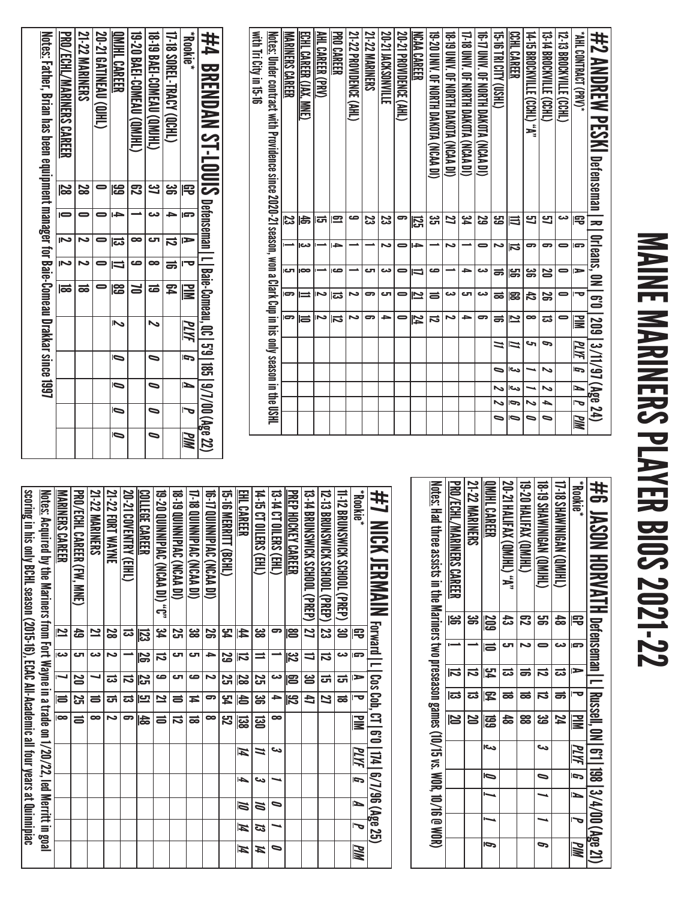# MAINE MARINERS PLAYER BIOS 2021-22 MAINE MARINERS PLAYER BIOS 2021-22

| #2 AMDREW PESKI Defenseman I R                                                                                    |         | Orleans, ON |                          |                | 6'0   209   3/11/97 (Age 24) |               |    |                |                |           |
|-------------------------------------------------------------------------------------------------------------------|---------|-------------|--------------------------|----------------|------------------------------|---------------|----|----------------|----------------|-----------|
| "AHL CONTRACT (PRV)*                                                                                              | 雩       | G           | ∍                        | 宝              | ≧                            | $\frac{1}{2}$ |    | $\blacksquare$ | $\overline{r}$ | MN        |
| 12-13 BROCKVILLE (CCHL)                                                                                           | دے      | 0           |                          |                | 0                            |               |    |                |                |           |
| 13-T4 BROCKVILLE (CCHL)                                                                                           | 5       | 5           | 20                       | န္တ            | ಪ                            | P             | ゝ  | ゝ              | ┶              | ∍         |
| 14-15 BROCKVILLE (CCHL) "A"                                                                                       | 9       | 5           | ఴ                        | 42             | ∞                            | c             |    |                | ゝ              | ⋼         |
| CCHL CAREER                                                                                                       | ₿       | ನ           | န္တ                      | ౙ              | 2                            | N             | دى | دے             | Ģ              | $\bullet$ |
| CHSO) ALI3 181.91.51                                                                                              | م<br>ما | د           | ಹ                        | ಹ              | ಹ                            | ≍             | 宝  | N              |                | ٥         |
| 16-17 UNIV. OF NORTH DAKOTA (NCAA DI)                                                                             | S       | 0           | دے                       | دے             | c.                           |               |    |                |                |           |
| 17-18 UNIV. OF NORTH DAKOTA (NCAN DI)                                                                             | یم<br>4 |             | د                        | ى              | ∍                            |               |    |                |                |           |
| 18-50 DINTA CREAT DAKOIR (NORMA DINESSI)                                                                          | 2       | N           |                          | دے             | د٦                           |               |    |                |                |           |
| 19-20 DNN. OF NORTH DAKOTH (NCAN DI)                                                                              | دە<br>س |             | ص                        | ៛              | ವ                            |               |    |                |                |           |
| NCAA CAREER                                                                                                       | 52      | ÷           | $\overline{\phantom{a}}$ | $\mathbf{\Xi}$ | 74                           |               |    |                |                |           |
| 20-21 PROVIDENCE (AHL)                                                                                            | 5       | 0           | 0                        | 0              |                              |               |    |                |                |           |
| <b>20-21 JACKSONVILLE</b>                                                                                         | ಜ       | د٦          | دے                       | ى              | ∍                            |               |    |                |                |           |
| <b>21-22 MARINERS</b>                                                                                             | ಜ       |             | లా                       | ິ              | ౚ                            |               |    |                |                |           |
| 21-22 PROVIDENCE (AHL)                                                                                            | ص       |             |                          | N              | ىم                           |               |    |                |                |           |
| <b>PRO CAREER</b>                                                                                                 | 요       | د           | صه                       | ದ              | ವ                            |               |    |                |                |           |
| <b>AHL CAREER (PRV)</b>                                                                                           | ದ       |             |                          | د١             | د٦                           |               |    |                |                |           |
| ECHL CAREER (JAX, MNE)                                                                                            | 5       | دے          | $\infty$                 | ⋍              | Ħ                            |               |    |                |                |           |
| MARINERS CAREER                                                                                                   | ಜ       |             | ای                       | 5              | ဓာ                           |               |    |                |                |           |
| <u>Notes:</u> Under contract with Providence since 2020-21 season, won a Clark Cup in his only season in the USHL |         |             |                          |                |                              |               |    |                |                |           |
| with Tri City in 15-16                                                                                            |         |             |                          |                |                              |               |    |                |                |           |

ľ

| <u>Notes:</u> Father, Brian has been equipment manager for Baie-Comeau Drakkar since 1997 | <b>PRO/ECHL/MARINERS CAREER</b> | <b>21-22 MARINERS</b> | 20-21 GATINEAU (Q)HL | QMJHL CAREER | 19-20 BAEI-COMEAU (QMIHL) | <b>18-19 BAEI-COMEAU (QMIHL)</b> | 17-18 SOREL-TRACY (QCHL) | <b>Rookie</b> * | #4 BRENDAN ST-LOUS Defenseman Ll Baie-Comeau, 00,130,197/00 (λφε 22) |
|-------------------------------------------------------------------------------------------|---------------------------------|-----------------------|----------------------|--------------|---------------------------|----------------------------------|--------------------------|-----------------|----------------------------------------------------------------------|
|                                                                                           | $\overline{\mathbf{8}}$         | 28                    |                      | န္မ          | నై                        | ین                               | ఴౢ                       | 宅               |                                                                      |
|                                                                                           |                                 |                       |                      |              |                           |                                  |                          | l gra           |                                                                      |
|                                                                                           | Ñ                               | Z                     |                      | ದ            | ∞                         | ĒП                               | ಸ                        | $\Rightarrow$   |                                                                      |
|                                                                                           | $\overline{S}$                  |                       |                      | IJ           | ص                         | œ                                | ಹ                        |                 |                                                                      |
|                                                                                           | ಹ                               |                       |                      | န္ထ          |                           | ಹ                                | 54                       | <b>MIN</b>      |                                                                      |
|                                                                                           |                                 |                       |                      | Z            |                           | ~                                |                          | PLYF            |                                                                      |
|                                                                                           |                                 |                       |                      | Ō            |                           | ⋼                                |                          | $\overline{p}$  |                                                                      |
|                                                                                           |                                 |                       |                      | Ō            |                           | $\overline{\phantom{0}}$         |                          | N               |                                                                      |
|                                                                                           |                                 |                       |                      | Ō            |                           | $\bullet$                        |                          |                 |                                                                      |
|                                                                                           |                                 |                       |                      | Ō            |                           | $\bullet$                        |                          | <b>PIM</b>      |                                                                      |

| #6 JASON HORVATH Defenseman   L Russel, 0N   6'1 198   3/4/00 (Age 21)                           |         |    |   |   |          |      |                          |   |    |
|--------------------------------------------------------------------------------------------------|---------|----|---|---|----------|------|--------------------------|---|----|
| <b>Rookie</b> *                                                                                  | 宅       | G  | E |   | $\geq$   | PLYF | $\overline{\bf 5}$       | N | ИM |
| <b>17-18 SHAWINEAN (QMI)LI</b>                                                                   | 48      |    | ದ | ᇹ | 74       |      |                          |   |    |
| <b>18-19 SHAWNINGAN (QMIHL)</b>                                                                  | පු<br>ප |    |   | ನ | دە<br>مە | ىئ   | $\overline{\phantom{0}}$ |   | S  |
| 19-20 HALIFAX (QMJHL)                                                                            | ౘె      |    |   | ಹ | 88       |      |                          |   |    |
| 20-21 HALIFAX (QMJHL) "A"                                                                        | ದೆ      |    |   | ಹ | 48       |      |                          |   |    |
| QMJHL CAREER                                                                                     | 209     | la | 内 | 罕 | ෂි       | احد  | Ō                        |   | Ō  |
| <b>21-22 MARINERS</b>                                                                            | ౢ       |    |   | ಪ | 22       |      |                          |   |    |
| PRO/ECHL/MARINERS CAREER                                                                         | မ္တ     |    |   | ವ | N        |      |                          |   |    |
| <u>Notes:</u> Had three assists in the Mariners two preseason games (10/15 vs. WOR, 10/16 @ WOR) |         |    |   |   |          |      |                          |   |    |

| #1 MCK JERMAIM Forward I I oos cob, C1   6'0114   6/7/96 (Age 25)                          |                         |                          |         |                                                                                                                                                                                                                                                                             |               |      |    |   |                     |     |
|--------------------------------------------------------------------------------------------|-------------------------|--------------------------|---------|-----------------------------------------------------------------------------------------------------------------------------------------------------------------------------------------------------------------------------------------------------------------------------|---------------|------|----|---|---------------------|-----|
| <b>Rookie</b> *                                                                            | 宅                       | G                        | ъ       | ᅮ                                                                                                                                                                                                                                                                           | <b>PIM</b>    | PLYF | Ĩ. | P | $\bar{\phantom{a}}$ | PIM |
| 11-12 BRUNSWICK SCHOOL (PREP)                                                              | డ్ర                     | دى                       | ದ       | ಹ                                                                                                                                                                                                                                                                           |               |      |    |   |                     |     |
| I2-13 BRUNSWICK SCHOOL (PREP)                                                              | ಡ                       | ವ                        | ಪ       | Z                                                                                                                                                                                                                                                                           |               |      |    |   |                     |     |
| 13-14 BRUNSWICK SCHOOL (PREP)                                                              | $\overline{\bf 2}$      | $\overline{\phantom{0}}$ | ఴ       | Ł                                                                                                                                                                                                                                                                           |               |      |    |   |                     |     |
| PREP HOCKEY CAREER                                                                         | les                     | $\overline{\mathbf{z}}$  | 12      | $\overline{\overline{\overline{5}}}$                                                                                                                                                                                                                                        |               |      |    |   |                     |     |
| 13 -14 CT OILERS (EHL)                                                                     | 5                       |                          | دت      | →                                                                                                                                                                                                                                                                           | ∞             | دے   |    | ∍ |                     | ∍   |
| 14-15 CT OILERS (EHL)                                                                      | జ                       | =                        | Σ,      | ఴ                                                                                                                                                                                                                                                                           | $\Xi$         | 2    | دى | ă | ದ                   | И   |
| EHL CAREER                                                                                 | 44                      | 局                        | 7<br>8  | ister<br>Sologi (d. 15)<br>Sologi (d. 15)<br>Sologi (d. 15)<br>Sologi (d. 15)<br>Sologi (d. 15)<br>Sologi (d. 15)<br>Sologi (d. 15)<br>Sologi (d. 15)<br>Sologi (d. 15)<br>Sologi (d. 15)<br>Sologi (d. 15)<br>Sologi (d. 15)<br>Sologi (d. 15)<br>Sologi (d. 15)<br>Sologi | ន្លា          | И    | ┶  | Ñ | И                   | И   |
| 15-16 MERRIH (BCHL)                                                                        | 54                      | 5g                       | Σ,      | 54                                                                                                                                                                                                                                                                          | 32            |      |    |   |                     |     |
| 16-17 QUINNIPIAC (NCAA DI)                                                                 | မ္တ                     | ≏                        | N       | 5                                                                                                                                                                                                                                                                           | ∞             |      |    |   |                     |     |
| 17-18 QUINNIPIAC (NCAA DI)                                                                 | జ                       | లా                       | ص       | Ħ                                                                                                                                                                                                                                                                           | ಹ             |      |    |   |                     |     |
| <b>18-19 QUNNIPIAN (NCAA DI)</b>                                                           | Σ,                      | ای                       | ౮       | ਛ                                                                                                                                                                                                                                                                           | ನ             |      |    |   |                     |     |
| <b>19-20 QUINNIPIAC (NCAA DI) "C"</b>                                                      | <u>ہے</u>               | ವ                        | ص       | 2                                                                                                                                                                                                                                                                           | ే             |      |    |   |                     |     |
| <b>COLLEGE CAREER</b>                                                                      | 53                      | 56                       | 32<br>S | <u>س</u>                                                                                                                                                                                                                                                                    | $\frac{4}{8}$ |      |    |   |                     |     |
| 20-21 COVENTRY (EIHL)                                                                      | ದ                       |                          | ನ       | ದ                                                                                                                                                                                                                                                                           | ິ             |      |    |   |                     |     |
| 21-22 FORT WAYNE                                                                           | S                       | N                        | ದ       | ದ                                                                                                                                                                                                                                                                           | N             |      |    |   |                     |     |
| <b>21-22 MARINERS</b>                                                                      | ⊵                       | دے                       |         | ᇹ                                                                                                                                                                                                                                                                           | ∞             |      |    |   |                     |     |
| PRO/ECHL CAREER (FW, MNE)                                                                  | 숩                       | లా                       | 20      | Σ,                                                                                                                                                                                                                                                                          | 5             |      |    |   |                     |     |
| MARINERS CAREER                                                                            | $\overline{\mathbf{z}}$ | دء                       | ┙       | E                                                                                                                                                                                                                                                                           | ico           |      |    |   |                     |     |
| Notes: Acquired by the Mariners from Font Wayne in a trade on 1/20/22, led Merritt in goal |                         |                          |         |                                                                                                                                                                                                                                                                             |               |      |    |   |                     |     |
| scoring in his only BCHL season (2015-16), ECAC All-Academic all four years at Quinnipiac  |                         |                          |         |                                                                                                                                                                                                                                                                             |               |      |    |   |                     |     |
|                                                                                            |                         |                          |         |                                                                                                                                                                                                                                                                             |               |      |    |   |                     |     |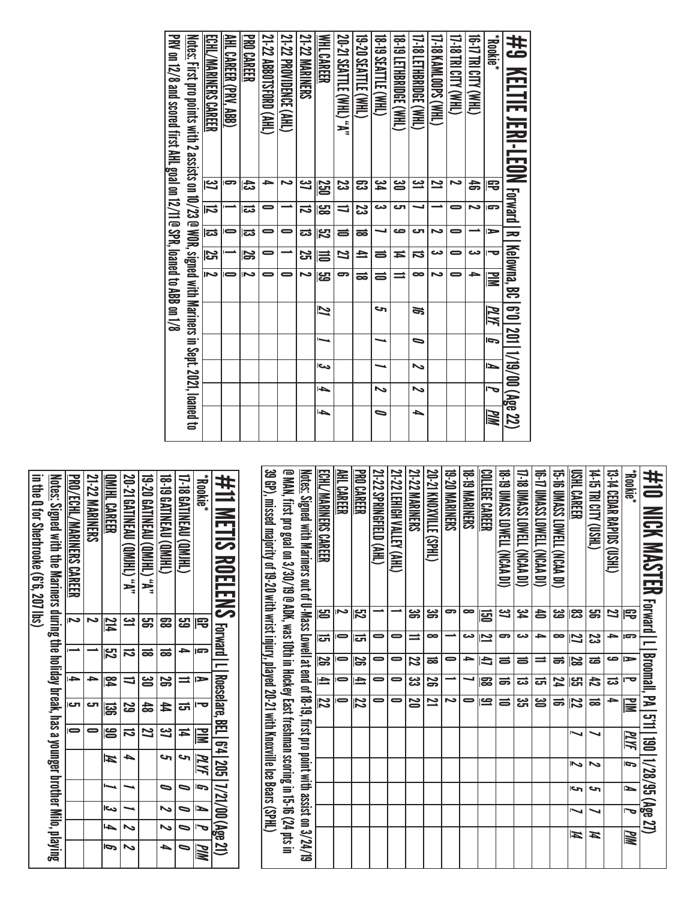| <b>Acckie*</b><br>#9 KELTIE JERI-LEDN <sub>Forward Pa</sub>                                          | 宅         | l gra         | ь                        | l o            | Kelowna, BC   6'0   201   1/19/00 (Age 22)<br><b>NM</b> | PLYF | Ú | ►  | J      | PIM       |
|------------------------------------------------------------------------------------------------------|-----------|---------------|--------------------------|----------------|---------------------------------------------------------|------|---|----|--------|-----------|
| <b>THAN) ALICI BLL 4-91</b>                                                                          | お         | د             |                          | دے             | ٠                                                       |      |   |    |        |           |
| 17-18 TRI CITY (WHL)                                                                                 |           | 0             | 0                        |                |                                                         |      |   |    |        |           |
| THR KAMLOOPS (WHL)                                                                                   | یے        |               | د                        | دى             | N                                                       |      |   |    |        |           |
| 17-18 LETHBRUGE (WHL)                                                                                | <u>ڊ،</u> |               | دα                       | ನ              | $\bullet$                                               | ಹ    | 0 | ゝ  | ゝ      | ┶         |
| <b>18-19 LETHRRIDGE (WHL)</b>                                                                        | ൠ         | ص             | دہ                       | Ħ              |                                                         |      |   |    |        |           |
| 18-19 SEATTLE (WHL)                                                                                  | عک        | دے            |                          | 5              | $\Rightarrow$                                           | حہ   |   |    | $\sim$ | $\bullet$ |
| 19-20 SEATTLE (WHL)                                                                                  | ఔ         | <u>یع</u>     | ಹ                        | $\overline{4}$ | ಹ                                                       |      |   |    |        |           |
| 20-21 SEATTLE (WHL) "A"                                                                              | ಜ         | $\Rightarrow$ | ᆯ                        | Z              | 5                                                       |      |   |    |        |           |
| WHL CAREER                                                                                           | 55        | မ္မာ          | $\overline{\mathcal{E}}$ |                | <b>မှူ</b>                                              | 2    | ь | دے | 1      | 4         |
| <b>21-22 MARINERS</b>                                                                                | یے        | ನ             | ವ                        | 25             | N                                                       |      |   |    |        |           |
| 21-22 PROVIDENCE (AHL)                                                                               |           |               | =                        |                |                                                         |      |   |    |        |           |
| 21-22 ABBOTSFORD (AHL)                                                                               | -         | 0             | 0                        |                | -                                                       |      |   |    |        |           |
| <b>PROGREER</b>                                                                                      | 氐         | ದ             | ವ                        | 12             | Ñ                                                       |      |   |    |        |           |
| AHL CAREER (PRV. ABB)                                                                                | 5         |               |                          |                | $\blacksquare$                                          |      |   |    |        |           |
| ECHL/MARINERS CAREER                                                                                 | یے        | ನ             | ದ                        | ĮЗ             | ≂                                                       |      |   |    |        |           |
| Notes: First pro points with 2 assists on 10/23 @ WOR, signed with Mariners in Sept. 2021, Ioaned to |           |               |                          |                |                                                         |      |   |    |        |           |
| PRV on 12/3 and scored first AHL goal on 12/10 SPR, 10aned to ABB on 12/8                            |           |               |                          |                |                                                         |      |   |    |        |           |

| <b>#11 METIS ROELENS Forward IL Rosselars, BEL 6:4 1205 17/21/00 (Age 21)</b>                        |                  |                          |                         |           |                |      |                          |                         |                |                  |
|------------------------------------------------------------------------------------------------------|------------------|--------------------------|-------------------------|-----------|----------------|------|--------------------------|-------------------------|----------------|------------------|
| *Bookie*                                                                                             | 宅                | G.                       | Þ                       |           | ≧              | PLYF | $\overline{5}$           | $\blacksquare$          | J              | PIM              |
| <b>17-18 GATINEAU (QMJHL)</b>                                                                        | <mark>س</mark>   |                          |                         | ದ         | ≖              | S    | $\overline{\phantom{0}}$ | $\blacksquare$          | $\blacksquare$ | 0                |
| 18-B GATINEAU (QMJHL)                                                                                | ౙ                | ಹ                        | န္တ                     | 44        | <u>ین</u>      | حہ   | $\bullet$                | $\overline{\mathbf{v}}$ | $\sim$         | $\blacktriangle$ |
| <b>19-20 GATINEAU (QM)HL) "A"</b>                                                                    | မ္မာ့            | ಹ                        | ൠ                       | 숢         | 2              |      |                          |                         |                |                  |
| <b>20-21 GATINEAU (QMJHL) "A"</b>                                                                    | <u>س</u>         | ದ                        |                         | <u>یع</u> | ವ              | ь    |                          |                         | $\sim$         | ぃ                |
| <b>OMIHL CAREER</b>                                                                                  | $\frac{214}{11}$ | $\overline{\mathcal{E}}$ | $\overline{\mathbf{z}}$ | 冨         | မြိ            | И    |                          | احى                     | ŀ              | Ō                |
| <b>21-22 MARINERS</b>                                                                                |                  |                          |                         | ى         |                |      |                          |                         |                |                  |
| <b>PRO/ECHL/MARINERS CAREER</b>                                                                      | N                |                          | i d                     | Ю         | $\blacksquare$ |      |                          |                         |                |                  |
| <u>Notes:</u> Signed with the Mariners during the holiday break, has a younger brother Milo, playing |                  |                          |                         |           |                |      |                          |                         |                |                  |
| in the 0 for Sherbrooke (6'6), 207 lbs)                                                              |                  |                          |                         |           |                |      |                          |                         |                |                  |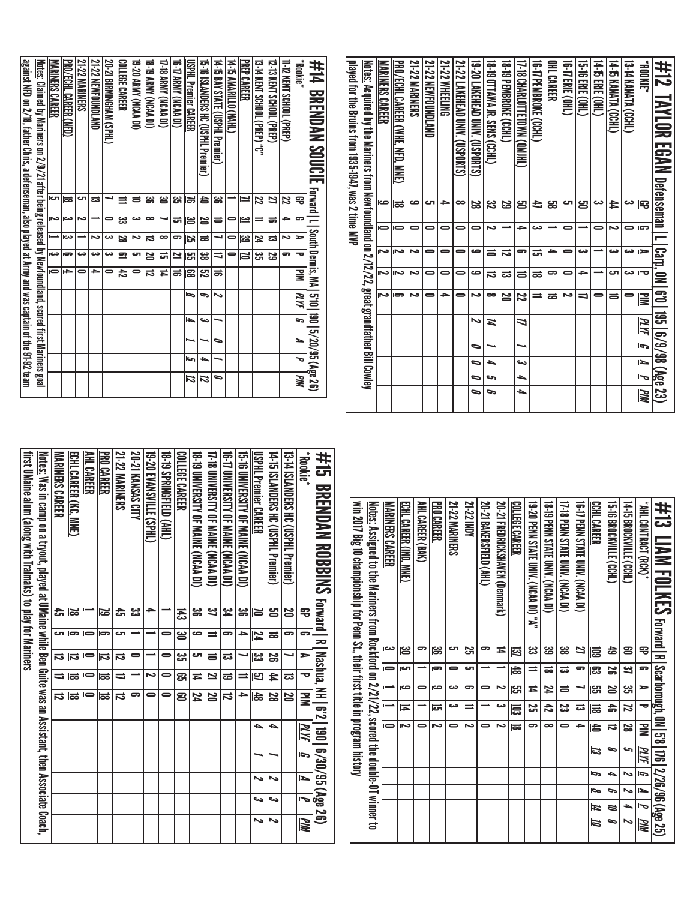| 21-22 NEWFOUNDLAND | 20-21 BIRMINGHAM (SPHL) | COLLEGE CAREER | 19-20 ARMY (NCAA DI) | 18-19 ARMY (NCAA DI) | 17-18 ARMY (NCAA DI) | 16-17 ARMY (NCAA DI) | USPHL Premier CAREER | 15-16 ISLANDERS HC (USPHL Premier) | 14-15 BAY STATE (USPHL Premier) | 14-15 AMARILLO (NAHL) | <b>PREP CAREER</b> | 13-14 KENT SCHOOL (PREP) "C" | 12-13 KENT SCHOOL (PREP) | 11-12 KENT SCHOOL (PREP) | *Bookie*  | #14<br><b>BRENDAN SOUCIE</b>  | played for the Bruins from 1935-1947, was 2 time MVP | <u>Notes:</u> Acquired by the Mariners from Newfoundland on 2/12/22, great grandfather Bill Cowley | MARINERS CAREER | PRO/ECHL CAREER (WHE, NFD, MNE) | <b>21-22 MARINERS</b> | 21-22 NEWFOUNDLAND | <b>21-22 WHEELING</b> | 21-22 LAKEHEAD UNIV. (USPORTS) | 19-20 LAKEHEAD UNIV. (USPORTS) | <b>18-19 OTTAWA JR. SENS (CCHL)</b> | <b>18-19 PEMBROKE (CCHL)</b> | 17-18 CHARLOTTETOWN (QMJHL) | <b>16-17 PEMBROKE (CCHL)</b> | <b>CHREER</b> | 16-17 ERIE (OHL) | 15-16 ERIE (OHL) | 14-15 ERIE (OHL) | 14-15 KANATA (CCHL) | <b>13-14 KANATA (CCHL)</b> | <b>ADON:</b> | #12<br>TAYLOR<br><b>EGAN</b> |
|--------------------|-------------------------|----------------|----------------------|----------------------|----------------------|----------------------|----------------------|------------------------------------|---------------------------------|-----------------------|--------------------|------------------------------|--------------------------|--------------------------|-----------|-------------------------------|------------------------------------------------------|----------------------------------------------------------------------------------------------------|-----------------|---------------------------------|-----------------------|--------------------|-----------------------|--------------------------------|--------------------------------|-------------------------------------|------------------------------|-----------------------------|------------------------------|---------------|------------------|------------------|------------------|---------------------|----------------------------|--------------|------------------------------|
| ವ                  | ┙                       | 亖              | ᇹ                    | ౹ఴ                   | ఆ                    | ಜ                    | ⊯                    | 合                                  | ఊ                               |                       | Ľ                  | 22                           | 21                       | 22                       | 宅         | Forward $ L $                 |                                                      |                                                                                                    | ص               | ಹ                               | صه                    | ای                 | →                     | $\infty$                       | 22                             | 32                                  | 59                           | Ξ                           | 4                            | ဌာ            | اک               | ឌ                | دى               | 44                  | دى                         | 宅            | Defenseman   L               |
| ∸                  | $\blacksquare$          | یج             | دى                   | $\bullet$            | ┙                    | ᇘ                    | ౹ఆ                   | N                                  | $\equiv$                        | $\bullet$             | یے                 | $\Rightarrow$                | ಹ                        | 4                        | ā         |                               |                                                      |                                                                                                    | $\bullet$       | $\overline{ }$                  | $\bullet$             | $\bullet$          | $\Rightarrow$         | $\bullet$                      | $\bullet$                      | د                                   | ∸                            | )}                          | دى                           |               | $\bullet$        |                  | $\bullet$        | د٦                  | $\bullet$                  | P            |                              |
| 2                  | دى                      | 28             | د                    | ನ                    | ∞                    | 9                    | $\overline{5}$       | ಹ                                  | ┙                               | $\bullet$             | ಜ                  | 74                           | ದ                        | ζ                        | ►         |                               |                                                      |                                                                                                    |                 |                                 |                       |                    |                       |                                |                                |                                     |                              |                             |                              |               |                  |                  |                  |                     |                            |              |                              |
| دى                 | دى                      | 空              | اك                   | N                    | ᇚ                    | 21                   | )မျာ                 | జ                                  | ₹                               | 0                     | <b>ISI</b>         | ಜ                            | ន                        | 9                        | ।−ਹ       |                               |                                                      |                                                                                                    | Z               | دا                              | مح                    | $\bullet$          | $\Rightarrow$         | $\bullet$                      | ص                              | ᇹ                                   | 2                            | ౚ                           | ᇘ                            | →             | $\bullet$        | دے               |                  | دى                  | دى                         | ►            | Carp,                        |
| $\rightarrow$      | $\bullet$               | 占              | $\bullet$            | ನ                    | Ħ                    | ಹ                    | 183                  | <b>Z</b>                           | ಹ                               |                       |                    |                              |                          |                          | N         | South Dennis, MA              |                                                      |                                                                                                    | Z               | د١                              | د                     | 0                  | $\bullet$             | $\Rightarrow$                  | ص                              | ನ                                   | ವ                            | ᇹ                           | ಹ                            | ິ             | $\bullet$        | →                | ∸                | ای                  | دى                         | ᅮ            | $\equiv$                     |
|                    |                         |                |                      |                      |                      |                      | p                    | G                                  | $\sim$                          |                       |                    |                              |                          |                          | <u>ИИ</u> |                               |                                                      |                                                                                                    | Z               | $\overline{ }$                  | مح                    | $\bullet$          | →                     | $\bullet$                      | د                              | $\bullet$                           | N                            | 22                          | ≕                            | ಹ             | د                | ⇒                | $\bullet$        | $\equiv$            | $\bullet$                  | ≣            | $\overline{0.9}$             |
|                    |                         |                |                      |                      |                      |                      | ₳                    | ىئ                                 |                                 |                       |                    |                              |                          |                          | ā         | 5'10   190   5/20/95 (Age 26) |                                                      |                                                                                                    |                 |                                 |                       |                    |                       |                                | یہ                             | Ħ                                   |                              | ٣                           |                              |               |                  |                  |                  |                     |                            | PLYF         | 195   6/9/98 (Age            |
|                    |                         |                |                      |                      |                      |                      |                      | ⊸                                  | ⋼                               |                       |                    |                              |                          |                          | ∍         |                               |                                                      |                                                                                                    |                 |                                 |                       |                    |                       |                                | $\bullet$                      | ◡                                   |                              | ◡                           |                              |               |                  |                  |                  |                     |                            | ā            |                              |
|                    |                         |                |                      |                      |                      |                      | ى                    | ▲                                  | ⊸                               |                       |                    |                              |                          |                          | 宝         |                               |                                                      |                                                                                                    |                 |                                 |                       |                    |                       |                                | $\overline{\phantom{0}}$       | ▲                                   |                              | دے                          |                              |               |                  |                  |                  |                     |                            | ⊵            |                              |
|                    |                         |                |                      |                      |                      |                      | に                    | И                                  | ∍                               |                       |                    |                              |                          |                          | ЫM        |                               |                                                      |                                                                                                    |                 |                                 |                       |                    |                       |                                | $\overline{\phantom{0}}$       | ç                                   |                              | ▲                           |                              |               |                  |                  |                  |                     |                            | 宝            |                              |
|                    |                         |                |                      |                      |                      |                      |                      |                                    |                                 |                       |                    |                              |                          |                          |           |                               |                                                      |                                                                                                    |                 |                                 |                       |                    |                       |                                | $\bullet$                      | c,                                  |                              | ▲                           |                              |               |                  |                  |                  |                     |                            | <u>РМ</u>    | 23)                          |

#13 LIAM FOLKES Forward | R | Scarborough, ON | 5'8 | 776 | 2796/96 (Age 25)

GP G A

 $\overline{v}$ 

굴<br>

*PLYF G A* <del>ר</del> *PIM*

\*AHL CONTRACT (RCK)\*

**"AHL CONTRACT (RCK) \*\*** 

| 2                       | دع                                      |                                                                                                 | $\overline{a}$          | 28                                                               | S                                  |                         |                                                                                           |   | $\sim$                                                                                                                                                                                                                                                                    |
|-------------------------|-----------------------------------------|-------------------------------------------------------------------------------------------------|-------------------------|------------------------------------------------------------------|------------------------------------|-------------------------|-------------------------------------------------------------------------------------------|---|---------------------------------------------------------------------------------------------------------------------------------------------------------------------------------------------------------------------------------------------------------------------------|
| 49                      | S                                       | N                                                                                               | a,                      | $\vec{v}$                                                        | 9                                  | ┶                       | G                                                                                         | Z | 9                                                                                                                                                                                                                                                                         |
| 扈                       | ု့က                                     | ပ္ပြ                                                                                            | 旨                       | l\$                                                              | ಡ                                  | حە                      | P                                                                                         | И | N                                                                                                                                                                                                                                                                         |
| 77                      | 9                                       |                                                                                                 | ದ                       | ⇒                                                                |                                    |                         |                                                                                           |   |                                                                                                                                                                                                                                                                           |
| జ                       | ವ                                       | ᇹ                                                                                               | 33                      | $\bullet$                                                        |                                    |                         |                                                                                           |   |                                                                                                                                                                                                                                                                           |
|                         |                                         |                                                                                                 |                         |                                                                  |                                    |                         |                                                                                           |   |                                                                                                                                                                                                                                                                           |
| 园                       | $\frac{1}{6}$                           | ပ္ပြာ                                                                                           | 层                       | ಹ                                                                |                                    |                         |                                                                                           |   |                                                                                                                                                                                                                                                                           |
| Ħ                       |                                         | Z                                                                                               | دى                      | د٦                                                               |                                    |                         |                                                                                           |   |                                                                                                                                                                                                                                                                           |
| 9                       |                                         | $\bullet$                                                                                       |                         | $\bullet$                                                        |                                    |                         |                                                                                           |   |                                                                                                                                                                                                                                                                           |
| 25                      | C                                       | 9                                                                                               | $\equiv$                | د                                                                |                                    |                         |                                                                                           |   |                                                                                                                                                                                                                                                                           |
| CΠ                      | $\bullet$                               | دے                                                                                              | دى                      | $\bullet$                                                        |                                    |                         |                                                                                           |   |                                                                                                                                                                                                                                                                           |
| မ္တ                     | $\overline{\phantom{0}}$                | صە                                                                                              | lai                     | د١                                                               |                                    |                         |                                                                                           |   |                                                                                                                                                                                                                                                                           |
| ႜ                       |                                         | $\overline{ }$                                                                                  |                         | $\blacksquare$                                                   |                                    |                         |                                                                                           |   |                                                                                                                                                                                                                                                                           |
| 13                      | G                                       | ص                                                                                               | Ħ                       | د١                                                               |                                    |                         |                                                                                           |   |                                                                                                                                                                                                                                                                           |
| دى                      | $\blacksquare$                          |                                                                                                 |                         | $\bullet$                                                        |                                    |                         |                                                                                           |   |                                                                                                                                                                                                                                                                           |
|                         |                                         |                                                                                                 |                         |                                                                  |                                    |                         |                                                                                           |   |                                                                                                                                                                                                                                                                           |
|                         |                                         |                                                                                                 |                         |                                                                  |                                    |                         |                                                                                           |   |                                                                                                                                                                                                                                                                           |
|                         |                                         |                                                                                                 |                         |                                                                  |                                    |                         |                                                                                           |   |                                                                                                                                                                                                                                                                           |
|                         | ᅮ                                       |                                                                                                 |                         | PLIF                                                             | G                                  |                         |                                                                                           |   | <b>PIM</b>                                                                                                                                                                                                                                                                |
| ┙                       | ಪ                                       |                                                                                                 |                         |                                                                  |                                    |                         |                                                                                           |   |                                                                                                                                                                                                                                                                           |
| S                       | 44                                      |                                                                                                 |                         | ▲                                                                |                                    | ~                       |                                                                                           |   | ∾                                                                                                                                                                                                                                                                         |
| ္ဗူ့                    | Ľ                                       |                                                                                                 |                         | ▲                                                                |                                    |                         |                                                                                           |   | حا                                                                                                                                                                                                                                                                        |
|                         |                                         | $\rightarrow$                                                                                   |                         |                                                                  |                                    |                         |                                                                                           |   |                                                                                                                                                                                                                                                                           |
| ದ                       | ಹ                                       |                                                                                                 |                         |                                                                  |                                    |                         |                                                                                           |   |                                                                                                                                                                                                                                                                           |
| $\equiv$                | 21                                      |                                                                                                 |                         |                                                                  |                                    |                         |                                                                                           |   |                                                                                                                                                                                                                                                                           |
| اک                      | Ħ                                       |                                                                                                 |                         |                                                                  |                                    |                         |                                                                                           |   |                                                                                                                                                                                                                                                                           |
| یں<br>ات                | ဌာ                                      |                                                                                                 |                         |                                                                  |                                    |                         |                                                                                           |   |                                                                                                                                                                                                                                                                           |
| 0                       | 0                                       | 0                                                                                               |                         |                                                                  |                                    |                         |                                                                                           |   |                                                                                                                                                                                                                                                                           |
|                         | د                                       | $\bullet$                                                                                       |                         |                                                                  |                                    |                         |                                                                                           |   |                                                                                                                                                                                                                                                                           |
| 0                       |                                         | —                                                                                               |                         |                                                                  |                                    |                         |                                                                                           |   |                                                                                                                                                                                                                                                                           |
| ವ                       | ⇉                                       | ನ                                                                                               |                         |                                                                  |                                    |                         |                                                                                           |   |                                                                                                                                                                                                                                                                           |
| $\overline{\mathbf{5}}$ | ౹ౚ                                      | ಹ                                                                                               |                         |                                                                  |                                    |                         |                                                                                           |   |                                                                                                                                                                                                                                                                           |
| $\blacksquare$          | $\bullet$                               | $\blacksquare$                                                                                  |                         |                                                                  |                                    |                         |                                                                                           |   |                                                                                                                                                                                                                                                                           |
| ನ                       | ಹ                                       | ಹ                                                                                               |                         |                                                                  |                                    |                         |                                                                                           |   |                                                                                                                                                                                                                                                                           |
|                         |                                         |                                                                                                 |                         |                                                                  |                                    |                         |                                                                                           |   |                                                                                                                                                                                                                                                                           |
|                         |                                         |                                                                                                 |                         |                                                                  |                                    |                         |                                                                                           |   |                                                                                                                                                                                                                                                                           |
|                         |                                         |                                                                                                 |                         |                                                                  |                                    |                         |                                                                                           |   |                                                                                                                                                                                                                                                                           |
|                         | æ<br>జ<br>33<br>►<br>$\overline{\bf 5}$ | first UMaine alum (along with Tralmaks) to play for Mariners<br>$\vec{=}$<br>⋍<br>ᅴ<br>$\equiv$ | Nashua,<br>Ħ<br>24<br>ದ | N<br>IJ<br>13<br>24<br>$\frac{4}{5}$<br>22<br>N<br>层<br>25<br>42 | $\frac{1}{10}$ HN<br>$\infty$<br>9 | $\overline{\mathbf{5}}$ | win 2017 Big 10 championship for Penn St., their first title in program history<br>N<br>Ż |   | <u>Notes:</u> Was in camp on a tryout, played at UMaine while Ben Guite was an Assistant, then Associate Coach,<br><u>Notes:</u> Assigned to the Mariners from Rockford on 2/21/22, scored the double-OT winner to<br>6/30/95 (Age 26)<br>$\bar{\phantom{a}}$<br>اص<br>دى |

21-22 MARINERS

PRO/ECHL CAREER (NFD)

MARINERS CAREER

**MARINERS CAREER** PRO/ECHL CAREER (NFD) 21-22 MARINERS

 $\overline{5}$ ಸ -دە  $\overline{\bullet}$ 

ఞ∥డా دع ا ت دے  $\overline{5}$  $\rightarrow$ 

-دە  $\blacksquare$ 

Notes: Claimed by Mariners on 2/9/21 after being released by Newfoundland, scored first Mariners goal against NFD on 2/18, father Chris, a defenseman, also played at Army and was captain of the 91-92 team

against NFD on 2/18, father Chris, a defenseman, also played at Army and was captain of the 91-92 team <u>Notes</u>: Claimed by Mariners on 2/9/21 after being released by Newfoundland, scored first Mariners goal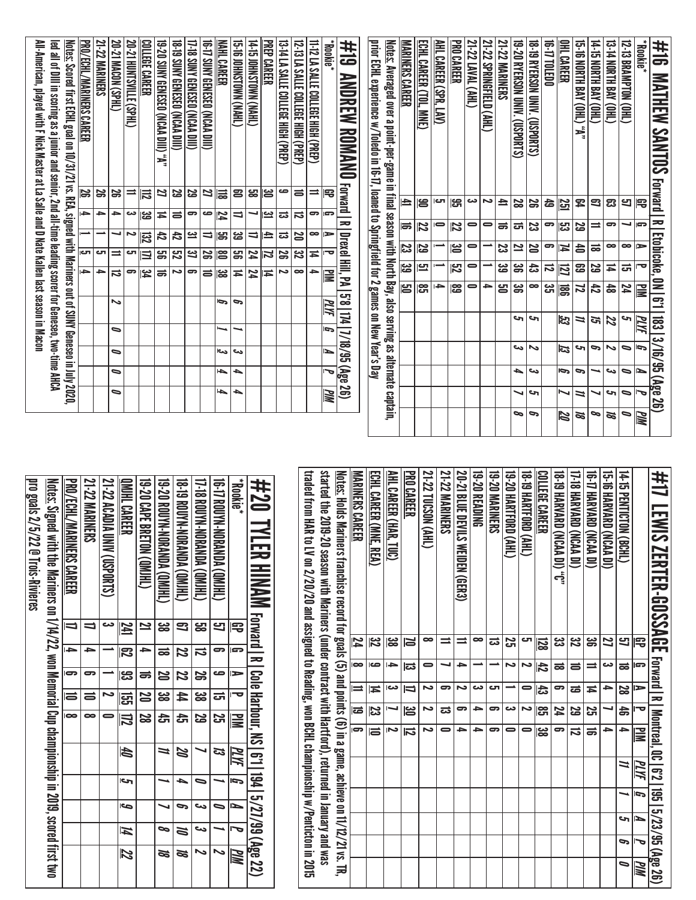|           |                 |    |                        |    |                         |               |                            |                |               |               |                | All-American, played with F Nick Master at La Salle and D Nate Kallen last season in Macon<br>led all of Dill in scoring as a junior and senior, 2nd all-time leading scorer for Geneseo, two-time AHCA |
|-----------|-----------------|----|------------------------|----|-------------------------|---------------|----------------------------|----------------|---------------|---------------|----------------|---------------------------------------------------------------------------------------------------------------------------------------------------------------------------------------------------------|
|           |                 |    |                        |    |                         |               |                            |                |               |               |                | <u>Notes:</u> Scored first ECHL goal on 10/31/21 vs. REA, signed with Mariners out of SUNY Geneseo in July 2020,                                                                                        |
|           |                 |    |                        |    |                         |               | $\rightarrow$              | Iح             |               | Ī             | ΙŠ,            | <b>PRO/ECHL/MARINERS CAREER</b>                                                                                                                                                                         |
|           |                 |    |                        |    |                         |               | ᆋ                          | G              | ∸             | $\rightarrow$ | 56             | <b>21-22 MARINERS</b>                                                                                                                                                                                   |
|           | ∍               | ∍  | ∍                      | ∍  |                         | ∾             | ನ                          | $\equiv$       | ┙             | →             | S              | 20-21 MACON (SPHL)                                                                                                                                                                                      |
|           |                 |    |                        |    |                         |               | ణ                          | cл             | ∽             | دى            | =              | 20-21 HUNTSVILLE (SPHL)                                                                                                                                                                                 |
|           |                 |    |                        |    |                         |               | $\overline{\mathbf{r}}$    | 三              | 冦             | ಜ             | 忌              | COLLEGE CAREER                                                                                                                                                                                          |
|           |                 |    |                        |    |                         |               | ಹ                          | <u>မှာ</u>     | 42            | Ħ             | 21             | 19-20 SUNY GENESEO (NCAA DIII) "A"                                                                                                                                                                      |
|           |                 |    |                        |    |                         |               | د                          | 25             | 42            | ᇹ             | 29             | 18-T9 SUNY GENESEO (NCAA DIII)                                                                                                                                                                          |
|           |                 |    |                        |    |                         |               | G                          | 31             | یے            | ా             | 53             | 17-18 SUNY GENESEO (NCAA DIII)                                                                                                                                                                          |
|           |                 |    |                        |    |                         |               | $\equiv$                   | 29             | ⇒             | ص             | 77             | 16-17 SUNY GENESED (NCAA DIII)                                                                                                                                                                          |
|           | ┶               | ┶  | ص                      |    |                         | P             | ಜ                          | ဧ              | န္တ           | 54            | 旨              | <b>NAHL CAREER</b>                                                                                                                                                                                      |
|           | ┶               | ┶  | ىي                     | ⊸  |                         | c             | Ħ                          | ឌូ             | జ             | u             | 23             | <b>(THYN) NANDISING (SI-51</b>                                                                                                                                                                          |
|           |                 |    |                        |    |                         |               | 24                         | 24             | $\Rightarrow$ | ┙             | 엃              | 14-TS JOHNSTOWN (NAHL)                                                                                                                                                                                  |
|           |                 |    |                        |    |                         |               | Ħ                          | 12             | 甴             | یے            | ္ထ             | <b>PREP CAREER</b>                                                                                                                                                                                      |
|           |                 |    |                        |    |                         |               | ى                          | 29             | ಪ             | ಪ             | ص              | 13-14 LA SALLE COLLEGE HIGH (PREP)                                                                                                                                                                      |
|           |                 |    |                        |    |                         |               | $\infty$                   | $\overline{z}$ | 20            | ವ             | 5              | 12 - 13 LA SALLE COLLEGE HIGH (PREP)                                                                                                                                                                    |
|           |                 |    |                        |    |                         |               | ᡨ                          | Ħ              | ∞             | ౼             | $\equiv$       | 11-12 LA SALLE COLLEGE HIGH (PREP)                                                                                                                                                                      |
|           | ИM              | ᢇ  | N                      | ā, | <u>МИ</u>               |               | ≧                          | ᅮ              | ►             | P             | 閂              | <b>Rookie</b> *                                                                                                                                                                                         |
|           |                 |    | 174   7/18/95 (Age 26) |    |                         | 8.9           | <b>R</b>   Drexer Hill, PA |                |               |               | <b>Forward</b> | #19<br>ANDREW ROMAND                                                                                                                                                                                    |
|           |                 |    |                        |    |                         |               |                            |                |               |               |                | prior ECHL experience w/Toledo in 16-17, Ioaned to Springfield for 2 games on New Year's Day                                                                                                            |
|           |                 |    |                        |    |                         |               |                            |                |               |               |                | <u>Notes:</u> Averaged over a point-per-game in final season with North Bay, also serving as alternate captain,                                                                                         |
|           |                 |    |                        |    |                         | မြွှ          | မ္မ                        | 23             | ѭ             |               | $\equiv$       | <b>MARINERS CAREER</b>                                                                                                                                                                                  |
|           |                 |    |                        |    |                         | ု့            | <u>[니</u>                  | 59             | 22            |               | 19             | ECHL CAREER (TOL,<br><b>MNE</b>                                                                                                                                                                         |
|           |                 |    |                        |    |                         | →             |                            |                | 0             |               | చా             | AHL CAREER (SPR,<br>$\overline{\mathbb{R}}$                                                                                                                                                             |
|           |                 |    |                        |    |                         | <u>)အ</u>     | ಗವ                         | <u>)မ</u>      | 22            |               | ္ဟ             | <b>PRO CAREER</b>                                                                                                                                                                                       |
|           |                 |    |                        |    |                         | $\bullet$     | 0                          | 0              |               | 0             | دى             | 21-22 LAVAL (AHL)                                                                                                                                                                                       |
|           |                 |    |                        |    |                         | 4             |                            |                | 0             |               | د              | 21-22 SPRINGFIELD (AHL)                                                                                                                                                                                 |
|           |                 |    |                        |    |                         | 임             | အ                          | జ              | ಹ             |               | ≐              | <b>21-22 MARINERS</b>                                                                                                                                                                                   |
| p         | ↘               | ь  | دے                     |    | c                       | ఴ             | ၼ                          | <u>ی</u>       | ದ             |               | 23             | 19-20 RYERSON UNIV. (USPORTS)                                                                                                                                                                           |
| c         | 5               | ىئ | ∾                      |    | ∾                       | $\infty$      | ದೆ                         | N              | జ             |               | S              | 18-19 RYERSON UNIV. (USPORTS)                                                                                                                                                                           |
|           |                 |    |                        |    |                         | دى<br>آل      | ಸ                          | ဓာ             | ဓာ            |               | 숩              | <b>16-17 TOLEDO</b>                                                                                                                                                                                     |
| 2         | ↘               | P  | 13                     |    | 53                      | 冨             | <u>lzı</u>                 | И              | ္ဟာ           |               | 251            | OHL CAREER                                                                                                                                                                                              |
| Ø         | N               | G  | ∾                      |    | ≒                       | 22            | ස                          | \$             | 29            |               | 54             | "A" (JHO) YAB HTAOM 81-21                                                                                                                                                                               |
| 9         | ↘               | ┙  | G                      |    | 51                      | 42            | 29                         | ಹ              | $\equiv$      |               | 3              | 14-15 NORTH BAY (OHL)                                                                                                                                                                                   |
| Ø         | 5               | ىئ | N                      |    | 22                      | $\frac{4}{5}$ | Ħ                          | ∞              |               | 5             | ఔ              | (JHO) AVB H1NOM 1-31                                                                                                                                                                                    |
| D         | $\bullet$       | ∍  | ∍                      |    | 5                       | 74            | ಪ                          | ∞              |               | ┙             | 5              | 12-13 BRAMPTON (OHL)                                                                                                                                                                                    |
| <u>РМ</u> |                 | ►  | Ģ                      |    | PLIYE                   | <u> 공</u>     | ᇰ                          | ►              | G             |               | 弔              | *Bookie*                                                                                                                                                                                                |
|           | 3/16/95 (Age 26 |    |                        |    | $\overline{\mathbf{g}}$ | <b>1.9 NO</b> |                            | Etobicoke,     |               | z             |                | #16<br><b>MATHEW</b><br><b>SANTOS Forward</b>                                                                                                                                                           |

| traded from HAR to LV on 2/20/20 and assigned to Reading, won BCHL championship w/Penticton in 2015 | started the 2019-20 season with Mariners (under contract with Hartford), returned in January and was<br><u>Notes:</u> Holds Mariners franchise record for goals (5) and points (6) in a game, achieve on 11/12/21 vs. TR, | MANNERS CAREER | ECHL CAREER (MNE, REA)   | AHL CAREER (HAR, TUC) | <b>PRO CAREER</b>        | 21-22 TUCSON (AHL) | 21-22 MARINERS | 20-21 BLUE DEVILS WEIDEN (GER3) | 19-20 READING | <b>19-20 MARINERS</b> | 19-20 HARTFORD (AHL) | IS-19 HARTFORD (AHL) | <b>COLLEGE CAREER</b> | <b>19.19 HARVARD (NCAA DI) :C,</b> | <b>17-18 HARVARD (NCAA DI)</b> | <b>(IQ AAS) QAANAH (1-31</b> | 19-16 HARVARD (NCAP DI) | 14-15 PENTICTON (BCHL) |      | 井17 LEMIS ZERTER-GOSSAGE Forward I RI Montreal, 061 671 1951 5/23/95 (Age 26) |
|-----------------------------------------------------------------------------------------------------|---------------------------------------------------------------------------------------------------------------------------------------------------------------------------------------------------------------------------|----------------|--------------------------|-----------------------|--------------------------|--------------------|----------------|---------------------------------|---------------|-----------------------|----------------------|----------------------|-----------------------|------------------------------------|--------------------------------|------------------------------|-------------------------|------------------------|------|-------------------------------------------------------------------------------|
|                                                                                                     |                                                                                                                                                                                                                           | 74             | $\overline{\mathcal{E}}$ | జ                     | N                        | ∞                  |                |                                 | ∞             | ಪ                     | 52                   | ى                    | <u>128</u>            | ట                                  | <u>یع</u>                      | ఴ                            | 27                      | 5                      | 号    |                                                                               |
|                                                                                                     |                                                                                                                                                                                                                           | $\bullet$      | صە                       | ⊸                     | ದ                        | 0                  |                | ≏                               |               |                       | د                    | ∼                    | づ                     | ಹ                                  | ᇹ                              |                              | دى                      | ಹ                      | s    |                                                                               |
|                                                                                                     |                                                                                                                                                                                                                           | $\equiv$       | Ħ                        | دى                    | $\overline{\phantom{a}}$ | د٦                 | 5              | Z                               | دى            | Γک                    |                      | 0                    | 43                    | ဓာ                                 | ಹ                              | Ħ                            | )}                      | 28                     | ►    |                                                                               |
|                                                                                                     |                                                                                                                                                                                                                           | ಹ              | బై                       |                       | မြိ                      | Z                  | ದ              | ణ                               | ∍             | 5                     | دى                   | Z                    | ႜႜၟ                   | 24                                 | S                              | Σ                            |                         | 송                      | ᅮ    |                                                                               |
|                                                                                                     |                                                                                                                                                                                                                           | 5              | la                       | د١                    | $\overline{\mathbf{5}}$  | د                  | 0              | ᆋ                               | د             | ౚ                     |                      |                      | జ్ఞ                   | ິ                                  | ವ                              | ಹ                            | )}                      | →                      | E    |                                                                               |
|                                                                                                     |                                                                                                                                                                                                                           |                |                          |                       |                          |                    |                |                                 |               |                       |                      |                      |                       |                                    |                                |                              |                         | u                      | PLYF |                                                                               |
|                                                                                                     |                                                                                                                                                                                                                           |                |                          |                       |                          |                    |                |                                 |               |                       |                      |                      |                       |                                    |                                |                              |                         |                        | G    |                                                                               |
|                                                                                                     |                                                                                                                                                                                                                           |                |                          |                       |                          |                    |                |                                 |               |                       |                      |                      |                       |                                    |                                |                              |                         | c                      | ⊵    |                                                                               |
|                                                                                                     |                                                                                                                                                                                                                           |                |                          |                       |                          |                    |                |                                 |               |                       |                      |                      |                       |                                    |                                |                              |                         | G                      | J    |                                                                               |
|                                                                                                     |                                                                                                                                                                                                                           |                |                          |                       |                          |                    |                |                                 |               |                       |                      |                      |                       |                                    |                                |                              |                         | $\bullet$              | MM   |                                                                               |

| #20 INIMM rorard la loog Harbour, N.91-194-5/27/99 (Age 22)                                                |                |                          |                |                          |                    |         |               |      |    |                          |
|------------------------------------------------------------------------------------------------------------|----------------|--------------------------|----------------|--------------------------|--------------------|---------|---------------|------|----|--------------------------|
| <b>Rookie</b> *                                                                                            | 宅              | G                        | $\Rightarrow$  | $\overline{\phantom{a}}$ | 긓                  | MИ      | J             | N    |    | PIM                      |
| 16-17 ROUYN-NORANDA (QM)HL)                                                                                | 5              |                          | ص              | ᇘ                        | <u>ភ្ន</u>         | ದ       |               |      |    |                          |
| 1) -18 ROUNA-NORANDA (QM)HL)                                                                               | <mark>ය</mark> | $\vec{v}$                | $\Xi$          | ಜ                        | 52                 |         | $\overline{}$ | دے   | دى | $\overline{\phantom{0}}$ |
| 18-19 ROUYN-NORANDA (QMHL)                                                                                 | 3              | 22                       | Z              | $\sharp$                 | ਨੀ<br>ਹਿ           | 22      | ▵             |      | Z  | Ø                        |
| 19-20 ROUYN-NORANDA (QMIHL)                                                                                | జ              | ಹ                        | N              | ಜ                        | đ                  | 11      |               |      | 9  | 22                       |
| 19-20 CAPE BRETON (OMIHL)                                                                                  | ≃              | ÷                        |                | <b>SQ</b>                | $\overline{\bf 8}$ |         |               |      |    |                          |
| <b>OMIHL CAREER</b>                                                                                        | 241            | $\overline{\mathcal{S}}$ | ္ဟ             | සූ                       | $ \mathbb{Z} $     | th<br>M | احى           | أقصا | И  | $\overline{\mathcal{Z}}$ |
| 21-22 ACADIA UNIV (USPORTS)                                                                                |                |                          |                |                          |                    |         |               |      |    |                          |
| <b>21-22 MARINERS</b>                                                                                      |                | ∍                        |                | $\Rightarrow$            | ∞                  |         |               |      |    |                          |
| PRO/ECHL/MARINERS CAREER                                                                                   |                | Ī                        | $\overline{5}$ | $\overline{a}$           | $\overline{ }$     |         |               |      |    |                          |
| <u>Notes:</u> Signed with the Mariners on 1/14/22, won Memorial Cup championship in 2019, scored first two |                |                          |                |                          |                    |         |               |      |    |                          |
| pro goals 2/5/22 @ Trois-Rivieres                                                                          |                |                          |                |                          |                    |         |               |      |    |                          |
|                                                                                                            |                |                          |                |                          |                    |         |               |      |    |                          |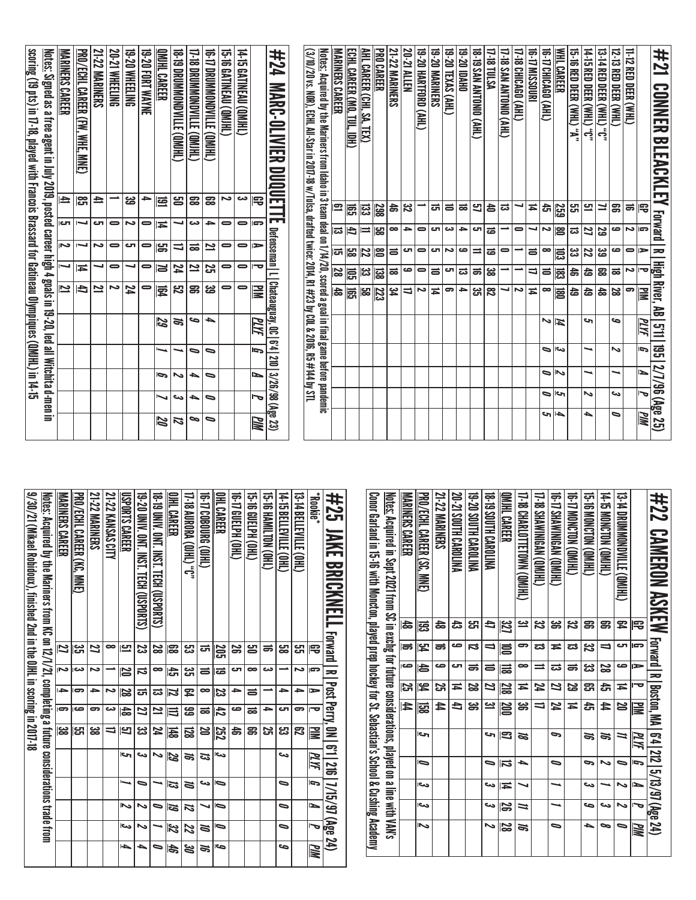| 9/30/21 (Mikael Robidoux), finished 2nd in the OJHL in scoring in 2017-18 | Motels: Actriced by the Mariners from KC on 12/1/21, completing a fittine considerations trade from | <b>MARINERS CAREER</b> | <b>PRO/ECHL CAREER (KC. MNE)</b> | <b>21-22 MARINERS</b> | 21-22 KANSAS CITY | USPORTS CAREER | 19-20 UNIV. ONT. INST. TECH (USPORTS) | 18-T9 UNIV. ONT. INST. TECH (USPORTS) | OIHL CAREER | J., (THIO) VAOBA (D) 11-11 | <b>16-THEO BOURG (OIHL)</b> | OHL CAREER          | TG TELPH (OHL) | <b>GIRD HORED HOLD</b> | <b>CHANNITON COHEC</b> | <b>CHO) 3TINGTIBE (CHF)</b> | 13-TA BELLEVILLE (OHL) | <b>Rookie</b> * | #25 JAKE BRICKNELL Forward I R I Post Perry, 0N I 611 216   7/15/97 (Age 24) |
|---------------------------------------------------------------------------|-----------------------------------------------------------------------------------------------------|------------------------|----------------------------------|-----------------------|-------------------|----------------|---------------------------------------|---------------------------------------|-------------|----------------------------|-----------------------------|---------------------|----------------|------------------------|------------------------|-----------------------------|------------------------|-----------------|------------------------------------------------------------------------------|
|                                                                           |                                                                                                     | 27                     | دے<br>ات                         | Z                     | ∞                 | 므              | S                                     | 28                                    | ၼ           | జ                          | ದ                           | <u>205</u>          | వ              | ട്ട                    | ಹ                      | <u>မာ</u>                   | لى<br>س                | 宅               |                                                                              |
|                                                                           |                                                                                                     | Z                      | دى                               | د                     |                   | <b>N</b>       | ನ                                     | ∞                                     | 영           | یئ                         | ᆯ                           | ಹ                   | ى              | ∞                      | دە                     |                             | N                      | G               |                                                                              |
|                                                                           |                                                                                                     | i din                  | Ģ                                | ᆋ                     | N                 | 82             | ದ                                     | ದ                                     | Z           | ጄ                          | $\bullet$                   | 23                  | ᆋ              | ᇹ                      |                        | ∍                           | ے                      | $\Rightarrow$   |                                                                              |
|                                                                           |                                                                                                     | ဓာ                     | ص                                | ణ                     | دە                | $\frac{4}{5}$  | Z                                     | $\overline{\mathbf{z}}$               | 三           | ෂ                          | ಹ                           | 占                   | صه             | ಹ                      | ≏                      | ى                           | 5                      | ᅮ               |                                                                              |
|                                                                           |                                                                                                     | ಜ                      | <mark>س</mark>                   | జ                     | ₹                 | Ľ              | یں<br>ڈن                              | 74                                    | 国           | <u>ន</u>                   | S                           | 252                 | å              | g                      | <u>ភ្ន</u>             | ಜ                           | ఐ                      | ≧               |                                                                              |
|                                                                           |                                                                                                     |                        |                                  |                       |                   | احى            |                                       | る                                     | 29          | ಕ                          | ದ                           | احى                 |                |                        |                        | حى                          |                        | ИΜ              |                                                                              |
|                                                                           |                                                                                                     |                        |                                  |                       |                   |                | ∍                                     |                                       | ಡ           | N                          | دى                          | b                   |                |                        |                        | ∍                           |                        | b.              |                                                                              |
|                                                                           |                                                                                                     |                        |                                  |                       |                   | へ              | ∾                                     | D                                     | 5           | и                          |                             | ⋼                   |                |                        |                        | ∍                           |                        | ∍               |                                                                              |
|                                                                           |                                                                                                     |                        |                                  |                       |                   | احد            | ゝ                                     |                                       | 32          | Z                          | ≋                           | $\bar{\phantom{a}}$ |                |                        |                        | ∍                           |                        |                 |                                                                              |
|                                                                           |                                                                                                     |                        |                                  |                       |                   | 4              | ┶                                     |                                       | 46          | 8                          | ಕ                           | احص                 |                |                        |                        | مه                          |                        | WM              |                                                                              |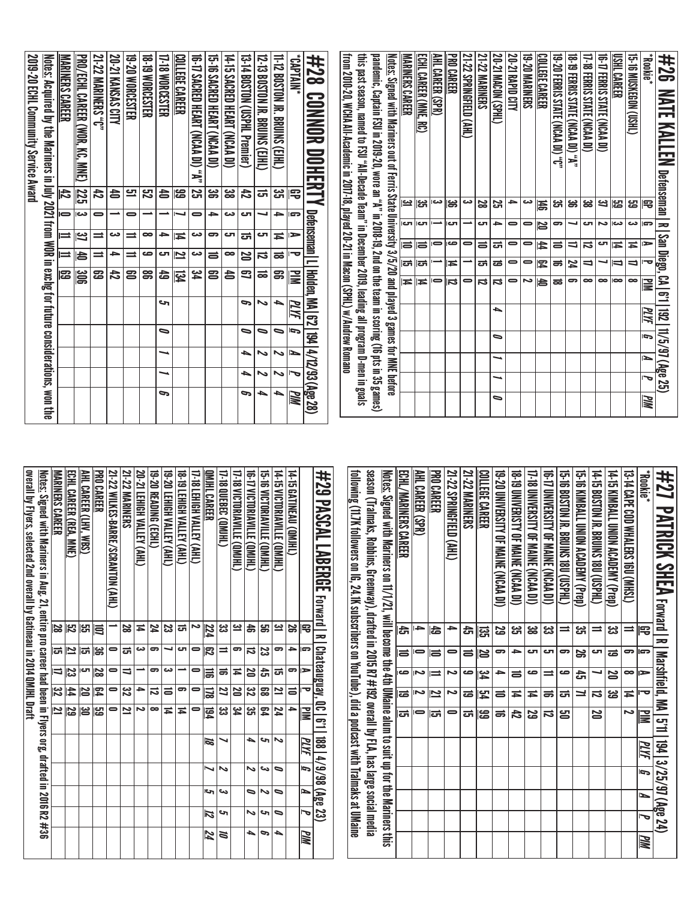| overall by Flyers, selected 2nd overall by Gatineau in 2014 QMJHL Draft<br><u>Notes:</u> Signed with Mariners in Aug. 21, entire pro career had been in Flyers org, drafted in 2016 R2 #36 | <b>MARINERS CAREER</b> | ECHL CAREER (REA, MNE)  | AHL CAREER (LHV, WBS) | <b>PRO CAREER</b> | 21-22 WILKES-BARRE/SCRANTON (AHL) | <b>21-22 MARINERS</b> | 20-21 LEHIGH VALLEY (AHL) | 19-20 READING (ECHL) | 19-20 LEHIGH VALLEY (AHL) | <b>18-19 LEHIGH VALLEY (AHL)</b> | 17-18 LEHIGH VALLEY (AHL) | <b>QMJHL CAREER</b> | <b>17-18 QUEBEC (QMJHL)</b> | 17-18 VICTORIAVILLE (QMJHL) | <b>16-17 VICTORIAVILLE (QMJHL)</b> | <b>15-16 VICTORIAVILLE (QMJHL)</b> | 14-15 VICTORIAVILLE (QMIHL) | <b>14-15 GATINEAU (QMJHL)</b> |                       | #29 PASCAL LABERGE<br>Forward | following (11.7K followers on IG, 24.1K subscribers on YouTube), did a podcast with Tralmaks at UMaine | season (Tralmaks, Robbins, Greenway), drafted in 2015 R7 #192 overall by FLA, has large social media | <u>Notes:</u> Signed with Mariners on 11/1/21, will become the 4th UMaine alum to suit up for the Mariners this | ECHL/MARINERS CAREER | AHL CAREER (SPR) | <b>PRO CAREER</b> | 21-22 SPRINGFIELD (AHL) | <b>21-22 MARINERS</b> | <b>COLLEGE CAREER</b> | <b>19-20 UNIVERSITY OF MAINE (NCAA DI)</b> | 18-T9 DIVERISTY OF MAINE (NCAA DI) | 17-18 DNIVERSITY OF MAINE (NCAA DI) | 16-17 DINERSILY OF MAINE (NCAA DI) | 15-16 BOSTON N: BRUINS 180 (COPHL) | 15-16 KIMBALL UNION ACADEMY (Prep) | 14-15 BOSTON IR. BRUINS 180 (USPHL) | 14-15 KIMBALL UNION ACADEMY (Pren) | 13-14 CAPE COD NNALERS 1900 (MHSL) | *Rookie    | #27<br><b>PATRICK SHEA</b>     |
|--------------------------------------------------------------------------------------------------------------------------------------------------------------------------------------------|------------------------|-------------------------|-----------------------|-------------------|-----------------------------------|-----------------------|---------------------------|----------------------|---------------------------|----------------------------------|---------------------------|---------------------|-----------------------------|-----------------------------|------------------------------------|------------------------------------|-----------------------------|-------------------------------|-----------------------|-------------------------------|--------------------------------------------------------------------------------------------------------|------------------------------------------------------------------------------------------------------|-----------------------------------------------------------------------------------------------------------------|----------------------|------------------|-------------------|-------------------------|-----------------------|-----------------------|--------------------------------------------|------------------------------------|-------------------------------------|------------------------------------|------------------------------------|------------------------------------|-------------------------------------|------------------------------------|------------------------------------|------------|--------------------------------|
|                                                                                                                                                                                            | 29                     | $\overline{\mathbf{2}}$ | ပ္ပြ                  | 闫                 |                                   | 28                    | $\overline{4}$            | 24                   | S                         | ᇘ                                | Ζ                         | 224                 | ین<br>دن                    | یے                          | $\ddot{a}$                         | g                                  | <u>یہ</u>                   | S                             | 雩                     | ᇹ                             |                                                                                                        |                                                                                                      |                                                                                                                 | ਨ੍ਹਿ                 | ᡨ                | 齿                 | →                       | ਨੇ                    | ឌូ                    | 29                                         | ္ဗာ                                | <u>မ</u>                            | ಜ                                  | $\equiv$                           | ಜ                                  | $\equiv$                            | జ                                  | ≕                                  | 宅          |                                |
|                                                                                                                                                                                            | 급                      | $\overline{\mathbf{z}}$ | 더                     | ္တြ               | $\bullet$                         | ភ                     | دى                        | 9                    | ┙                         | ГJ                               | 0                         | 3                   | $\equiv$                    | 9                           | $\vec{a}$                          | ಜ                                  | ခာ                          | $\rightarrow$                 | G                     |                               |                                                                                                        |                                                                                                      |                                                                                                                 | 5                    | 0                | ゠                 | $\bullet$               | 5                     | N                     | 5                                          | →                                  | ای                                  | ای                                 | 9                                  | S,                                 | ى                                   | ಹ                                  | 5                                  | Ģ          |                                |
|                                                                                                                                                                                            | ⋼                      | ပ္မ                     | ى                     | 28                | $\bullet$                         | ⇉                     |                           | 9                    | دى                        | -                                | 0                         | 冨                   | ಹ                           | Ħ                           | 20                                 | ෫                                  | ದ                           | ခာ                            | ►                     | <b>Chateauguay</b> ,          |                                                                                                        |                                                                                                      |                                                                                                                 | ه                    | د١               | $\equiv$          | د                       | ص                     | يو<br>ح               | →                                          | $\equiv$                           | ص                                   | $\equiv$                           | ڡ                                  | ෫                                  | ┙                                   | N                                  | $\bullet$                          | ►          |                                |
|                                                                                                                                                                                            | <u>ین</u>              | 44                      | N                     | 図                 | $\bullet$                         | 32                    | 4                         | $\vec{a}$            | 5                         | ౚ                                | 0                         | 図                   | 2                           | N                           | 22                                 | $\mathbf{z}$                       | 21                          | $\equiv$                      | ᠊ᢦ                    |                               |                                                                                                        |                                                                                                      |                                                                                                                 | ಹ                    | د۱               | <u>يا</u>         | ى                       | ಹ                     | 멍                     | ᇹ                                          | Ħ                                  | ≖                                   | ಹ                                  | ਯ                                  | ᆜ                                  | ನ                                   | జ                                  | Ħ                                  | −          |                                |
|                                                                                                                                                                                            | $\overline{z}$         | 29                      | မြိ                   | ပ္မွာ             | $\bullet$                         | 21                    | ى                         | ∞                    | Ħ                         | Ħ                                | 0                         | 園                   | ین<br>ما                    | 54                          | ین<br>آگ                           | 54                                 | 24                          | 4                             | $\mathbf{u}$          | $\Xi$<br><u>က္</u>            |                                                                                                        |                                                                                                      |                                                                                                                 | ದ<br>ಪ               | 0                | ౹చా               | 0                       | ᇘ                     | ၼ                     | ᇹ                                          | 47                                 | 59                                  | ನ                                  | ឌ                                  |                                    | 25                                  |                                    | ى                                  | ΜŃ         | Forward   Marshrield, MA   511 |
|                                                                                                                                                                                            |                        |                         |                       |                   |                                   |                       |                           |                      |                           |                                  |                           | 18                  |                             |                             | ▲                                  | 5                                  | N                           |                               | MИ                    | <b>881</b>                    |                                                                                                        |                                                                                                      |                                                                                                                 |                      |                  |                   |                         |                       |                       |                                            |                                    |                                     |                                    |                                    |                                    |                                     |                                    |                                    | <u>РІИ</u> | 194 3/25/97 (Age 24            |
|                                                                                                                                                                                            |                        |                         |                       |                   |                                   |                       |                           |                      |                           |                                  |                           | ↘                   | $\tilde{}$                  |                             | ∾                                  | ట                                  | $\bullet$                   |                               | G                     | 86/6/1                        |                                                                                                        |                                                                                                      |                                                                                                                 |                      |                  |                   |                         |                       |                       |                                            |                                    |                                     |                                    |                                    |                                    |                                     |                                    |                                    | J          |                                |
|                                                                                                                                                                                            |                        |                         |                       |                   |                                   |                       |                           |                      |                           |                                  |                           | c                   | ص                           |                             | ∍                                  | N                                  | $\bullet$                   |                               | $\blacktriangleright$ | (Age                          |                                                                                                        |                                                                                                      |                                                                                                                 |                      |                  |                   |                         |                       |                       |                                            |                                    |                                     |                                    |                                    |                                    |                                     |                                    |                                    | Þ          |                                |
|                                                                                                                                                                                            |                        |                         |                       |                   |                                   |                       |                           |                      |                           |                                  |                           | 12                  | ى                           |                             | ∾                                  | c                                  | ۹                           |                               | ত                     | 23)                           |                                                                                                        |                                                                                                      |                                                                                                                 |                      |                  |                   |                         |                       |                       |                                            |                                    |                                     |                                    |                                    |                                    |                                     |                                    |                                    | 宝          |                                |
|                                                                                                                                                                                            |                        |                         |                       |                   |                                   |                       |                           |                      |                           |                                  |                           | 24                  | ă                           |                             | ▲                                  | c                                  | ┶                           |                               | MМ                    |                               |                                                                                                        |                                                                                                      |                                                                                                                 |                      |                  |                   |                         |                       |                       |                                            |                                    |                                     |                                    |                                    |                                    |                                     |                                    |                                    | <u>РМ</u>  |                                |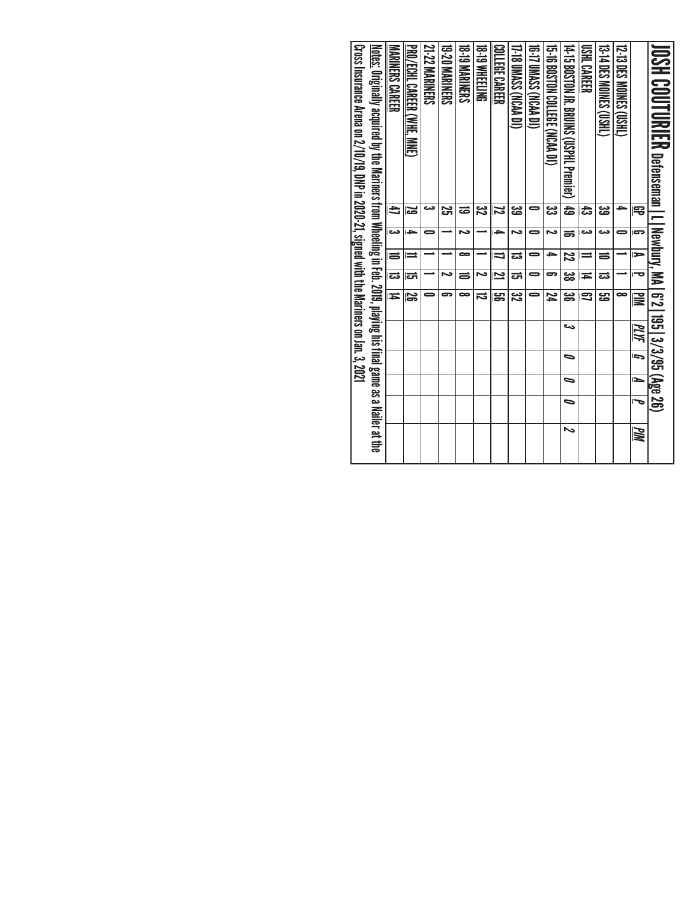| Cross Insurance Arena on 2/10/19, DNP in 2020-21, signed with the Mariners on Jan. 3, 2021 | <u>Notes:</u> Originally acquired by the Mariners from Wheeling in Feb. 2019, playing his final game as a Nailer at the | MANNERS CAREER          | PRO/ECHL CAREER (WHE. MNE) | <b>21-22 MARINERS</b> | <b>19-20 MARINERS</b> | <b>18-19 MARNERS</b> | <b>18-19 MHEELING</b> | <b>COLLEGE CAREER</b> | 17-18 UMASS (NCAA DI) | <b>16-TO DASS (NCAA DI)</b> | 15-16 BOSTON COLLEGE (NCAA DI) | 14-10 BOSTOM NY BAMINI COSPHIT Premier) – 49 | USHL CAREER | <b>13-14 DES MOINES (USHL)</b> | <b>12-13 DES MONES (USHL)</b> |                          | )OOH COOTIORIER pefenseman   L   Newhury, MA   6'2   195   3/3/95 (Age 26) |
|--------------------------------------------------------------------------------------------|-------------------------------------------------------------------------------------------------------------------------|-------------------------|----------------------------|-----------------------|-----------------------|----------------------|-----------------------|-----------------------|-----------------------|-----------------------------|--------------------------------|----------------------------------------------|-------------|--------------------------------|-------------------------------|--------------------------|----------------------------------------------------------------------------|
|                                                                                            |                                                                                                                         | 4                       | ಡ                          | دے                    | <u>یہ</u>             | ಹ                    | ین<br>ا               |                       | <u>မ</u>              | 0                           | یں<br>ڈن                       |                                              | 忠           | دە<br>ھ                        | ÷                             | 공                        |                                                                            |
|                                                                                            |                                                                                                                         | $\overline{\mathbf{c}}$ | ے                          |                       |                       | N                    |                       | ÷                     | N                     |                             | N                              | ಕ                                            | دے          | دت                             |                               | G                        |                                                                            |
|                                                                                            |                                                                                                                         | $\equiv$                |                            |                       |                       | ∞                    |                       | IJ                    | ಹ                     | 0                           | ÷                              | 22                                           | $\equiv$    | $\equiv$                       |                               | $\Rightarrow$            |                                                                            |
|                                                                                            |                                                                                                                         | ಹ                       | lch                        |                       | N                     | $\equiv$             | Z                     | $\mathbf{z}$          | ಹ                     | 0                           | 5                              | జ                                            | Ħ           | ಪ                              |                               | $\overline{\phantom{a}}$ |                                                                            |
|                                                                                            |                                                                                                                         | $\overline{\bf 1}$      | 92                         |                       | 5                     | ∞                    | ನ                     | gg                    | 32                    | 0                           | 74                             | ఴ                                            | Ξ           | <mark>ය</mark>                 | ∞                             | ≣                        |                                                                            |
|                                                                                            |                                                                                                                         |                         |                            |                       |                       |                      |                       |                       |                       |                             |                                | دے                                           |             |                                |                               | MM                       |                                                                            |
|                                                                                            |                                                                                                                         |                         |                            |                       |                       |                      |                       |                       |                       |                             |                                | $\bullet$                                    |             |                                |                               |                          |                                                                            |
|                                                                                            |                                                                                                                         |                         |                            |                       |                       |                      |                       |                       |                       |                             |                                | $\overline{\phantom{0}}$                     |             |                                |                               | N                        |                                                                            |
|                                                                                            |                                                                                                                         |                         |                            |                       |                       |                      |                       |                       |                       |                             |                                | $\bullet$                                    |             |                                |                               |                          |                                                                            |
|                                                                                            |                                                                                                                         |                         |                            |                       |                       |                      |                       |                       |                       |                             |                                | ゝ                                            |             |                                |                               | PIN                      |                                                                            |